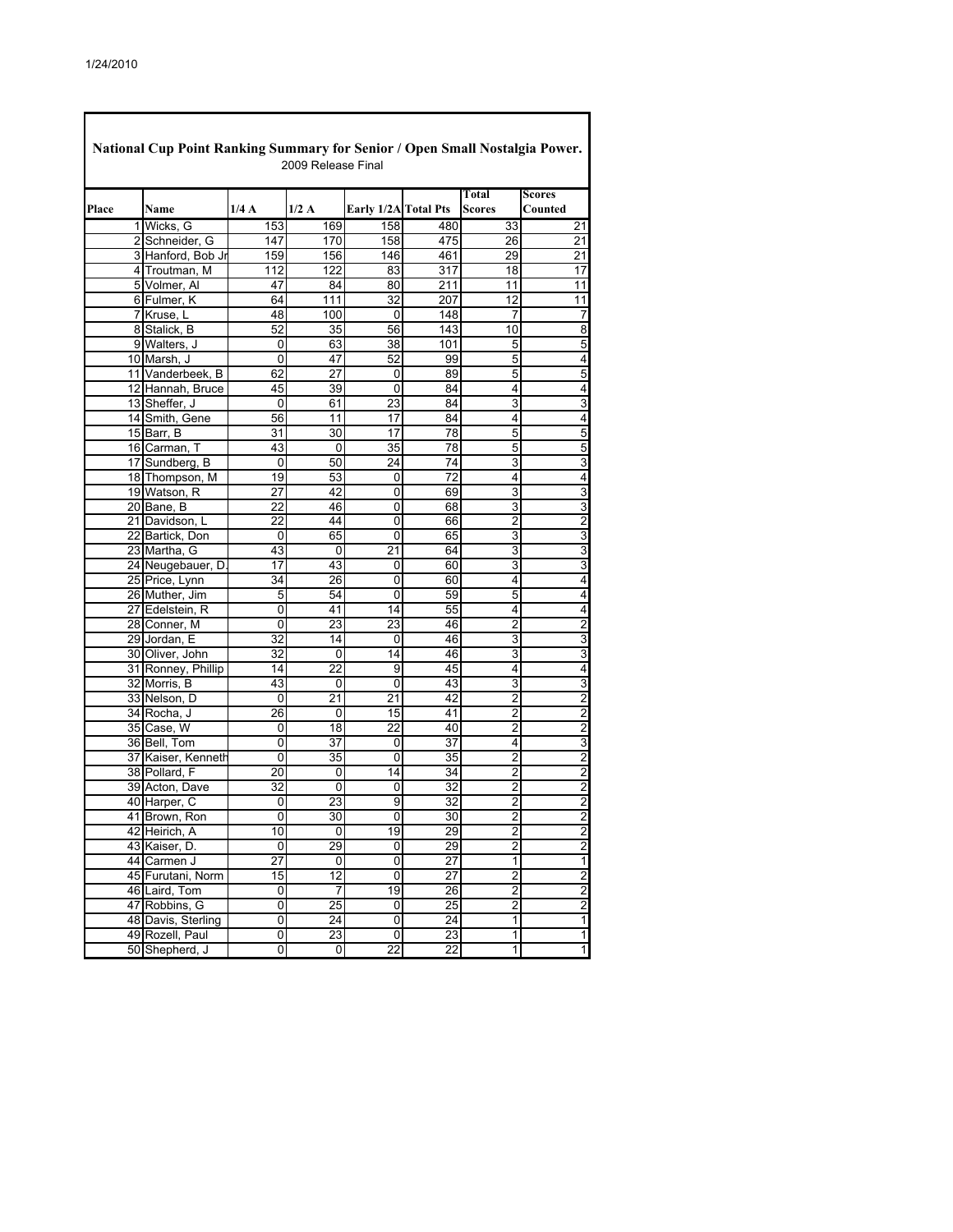Г

| National Cup Point Ranking Summary for Senior / Open Small Nostalgia Power.<br>2009 Release Final |                               |                 |                 |                      |                 |                              |                                           |  |  |  |  |
|---------------------------------------------------------------------------------------------------|-------------------------------|-----------------|-----------------|----------------------|-----------------|------------------------------|-------------------------------------------|--|--|--|--|
| Place                                                                                             | Name                          | 1/4A            | 1/2A            | Early 1/2A Total Pts |                 | Total<br>Scores              | <b>Scores</b><br>Counted                  |  |  |  |  |
|                                                                                                   | 1 Wicks, G                    | 153             | 169             | 158                  | 480             | 33                           | 21                                        |  |  |  |  |
|                                                                                                   | 2 Schneider, G                | 147             | 170             | 158                  | 475             | 26                           | 21                                        |  |  |  |  |
|                                                                                                   | 3 Hanford, Bob Jr             | 159             | 156             | 146                  | 461             | 29                           | 21                                        |  |  |  |  |
|                                                                                                   | 4 Troutman, M                 | 112             | 122             | 83                   | 317             | 18                           | $\overline{17}$                           |  |  |  |  |
|                                                                                                   | 5 Volmer, Al                  | 47              | 84              | 80                   | 211             | 11                           | 11                                        |  |  |  |  |
|                                                                                                   | 6 Fulmer, K                   | 64              | 111             | 32                   | 207             | $\overline{12}$              | $\overline{11}$                           |  |  |  |  |
|                                                                                                   | 7 Kruse, L                    | 48              | 100             | 0                    | 148             | 7                            | 7                                         |  |  |  |  |
|                                                                                                   | 8 Stalick, B                  | 52              | 35              | 56                   | 143             | 10                           | 8                                         |  |  |  |  |
|                                                                                                   | 9 Walters, J                  | 0               | 63              | 38                   | 101             | 5                            | 5                                         |  |  |  |  |
|                                                                                                   | 10 Marsh, J                   | 0               | 47              | 52                   | 99              | 5                            | 4                                         |  |  |  |  |
|                                                                                                   | 11 Vanderbeek, B              | 62              | 27              | 0                    | 89              | 5                            | 5                                         |  |  |  |  |
|                                                                                                   | 12 Hannah, Bruce              | 45              | 39              | 0                    | 84              | 4                            | 4                                         |  |  |  |  |
|                                                                                                   | 13 Sheffer, J                 | 0               | 61              | 23                   | 84              | 3                            | 3                                         |  |  |  |  |
|                                                                                                   | 14 Smith, Gene                | 56              | 11              | 17                   | 84              | 4                            | 4                                         |  |  |  |  |
|                                                                                                   | 15 Barr, B                    | 31              | 30              | 17                   | 78              | 5                            | 5                                         |  |  |  |  |
|                                                                                                   | 16 Carman, T                  | 43              | 0               | 35                   | 78              | 5                            | 5                                         |  |  |  |  |
|                                                                                                   | 17 Sundberg, B                | 0               | 50              | 24                   | 74              | 3                            | 3                                         |  |  |  |  |
|                                                                                                   | 18 Thompson, M                | 19              | 53              | 0                    | $\overline{72}$ | 4                            | 4                                         |  |  |  |  |
|                                                                                                   | 19 Watson, R                  | 27              | 42              | 0                    | 69              | 3                            | 3                                         |  |  |  |  |
|                                                                                                   | 20 Bane, B                    | 22              | 46              | 0                    | 68              | 3                            | 3                                         |  |  |  |  |
|                                                                                                   | 21 Davidson, L                | 22              | 44              | 0                    | 66              | $\overline{2}$               | $\overline{2}$                            |  |  |  |  |
|                                                                                                   | 22 Bartick, Don               | 0               | 65              | 0                    | 65              | 3                            | 3                                         |  |  |  |  |
|                                                                                                   | 23 Martha, G                  | 43              | 0               | 21                   | 64              | 3                            | 3                                         |  |  |  |  |
|                                                                                                   | 24 Neugebauer, D              | 17              | 43              | 0                    | 60              | 3                            | 3                                         |  |  |  |  |
|                                                                                                   | 25 Price, Lynn                | 34              | 26              | 0                    | 60              | 4                            | 4                                         |  |  |  |  |
|                                                                                                   | 26 Muther, Jim                | 5               | 54              | 0                    | 59              | 5                            | 4                                         |  |  |  |  |
|                                                                                                   | 27 Edelstein, R               | 0               | 41              | 14                   | 55              | 4                            | 4                                         |  |  |  |  |
|                                                                                                   | 28 Conner, M                  | 0               | 23              | 23                   | 46              | 2                            | 2                                         |  |  |  |  |
|                                                                                                   | 29 Jordan, E                  | 32              | 14              | 0                    | 46              | 3                            | 3                                         |  |  |  |  |
|                                                                                                   | 30 Oliver, John               | $\overline{32}$ | 0               | 14                   | 46              | 3                            | 3                                         |  |  |  |  |
|                                                                                                   | 31 Ronney, Phillip            | 14              | 22              | 9                    | 45              | 4                            | 4                                         |  |  |  |  |
|                                                                                                   | 32 Morris, B                  | 43              | 0               | 0                    | 43              | 3                            | 3                                         |  |  |  |  |
|                                                                                                   | 33 Nelson, D                  | 0               | 21              | 21                   | 42              | $\overline{2}$               | $\overline{c}$                            |  |  |  |  |
|                                                                                                   | 34 Rocha, J                   | 26              | 0               | 15                   | 41              | 2                            | $\overline{\mathbf{c}}$                   |  |  |  |  |
|                                                                                                   | 35 Case, W                    | 0               | 18              | 22                   | 40              | 2                            | $\overline{2}$                            |  |  |  |  |
|                                                                                                   | 36 Bell, Tom                  | 0               | 37              | 0                    | 37              | 4<br>$\overline{2}$          | 3                                         |  |  |  |  |
|                                                                                                   | 37 Kaiser, Kenneth            | 0               | 35              | 0                    | 35              |                              | $\overline{2}$                            |  |  |  |  |
|                                                                                                   | 38 Pollard, F                 | 20              | 0               | 14                   | 34              | 2                            | $\overline{2}$                            |  |  |  |  |
|                                                                                                   | 39 Acton, Dave                | 32              | 0<br>23         | 0<br>9               | 32              | $\overline{\mathbf{c}}$<br>2 | $\overline{\mathbf{c}}$<br>$\overline{2}$ |  |  |  |  |
|                                                                                                   | 40 Harper, C<br>41 Brown, Ron | 0<br>0          | 30              | 0                    | 32<br>30        | 2                            | $\overline{a}$                            |  |  |  |  |
|                                                                                                   | 42 Heirich, A                 | 10              | 0               | 19                   | 29              | $\overline{2}$               |                                           |  |  |  |  |
|                                                                                                   | 43 Kaiser, D.                 | 0               | 29              | 0                    | 29              | $\overline{\mathbf{c}}$      | $\frac{2}{2}$                             |  |  |  |  |
|                                                                                                   | 44 Carmen J                   | 27              | 0               | 0                    | 27              | 1                            | 1                                         |  |  |  |  |
|                                                                                                   | 45 Furutani, Norm             | $\overline{15}$ | $\overline{12}$ | $\overline{0}$       | $\overline{27}$ | $\overline{2}$               |                                           |  |  |  |  |
|                                                                                                   | 46 Laird, Tom                 | 0               | 7               | 19                   | 26              | $\overline{2}$               | $\frac{2}{2}$                             |  |  |  |  |
|                                                                                                   | 47 Robbins, G                 | $\overline{0}$  | $\overline{25}$ | 0                    | 25              | $\overline{2}$               | $\overline{2}$                            |  |  |  |  |
|                                                                                                   | 48 Davis, Sterling            | $\overline{0}$  | 24              | $\overline{0}$       | 24              | $\overline{1}$               | $\overline{1}$                            |  |  |  |  |
|                                                                                                   | 49 Rozell, Paul               | 0               | 23              | 0                    | 23              | 1                            | $\overline{\mathbf{1}}$                   |  |  |  |  |
|                                                                                                   | 50 Shepherd, J                | 0               | 0               | $\overline{22}$      | $\overline{22}$ | 1                            | $\overline{\mathbf{1}}$                   |  |  |  |  |
|                                                                                                   |                               |                 |                 |                      |                 |                              |                                           |  |  |  |  |

٦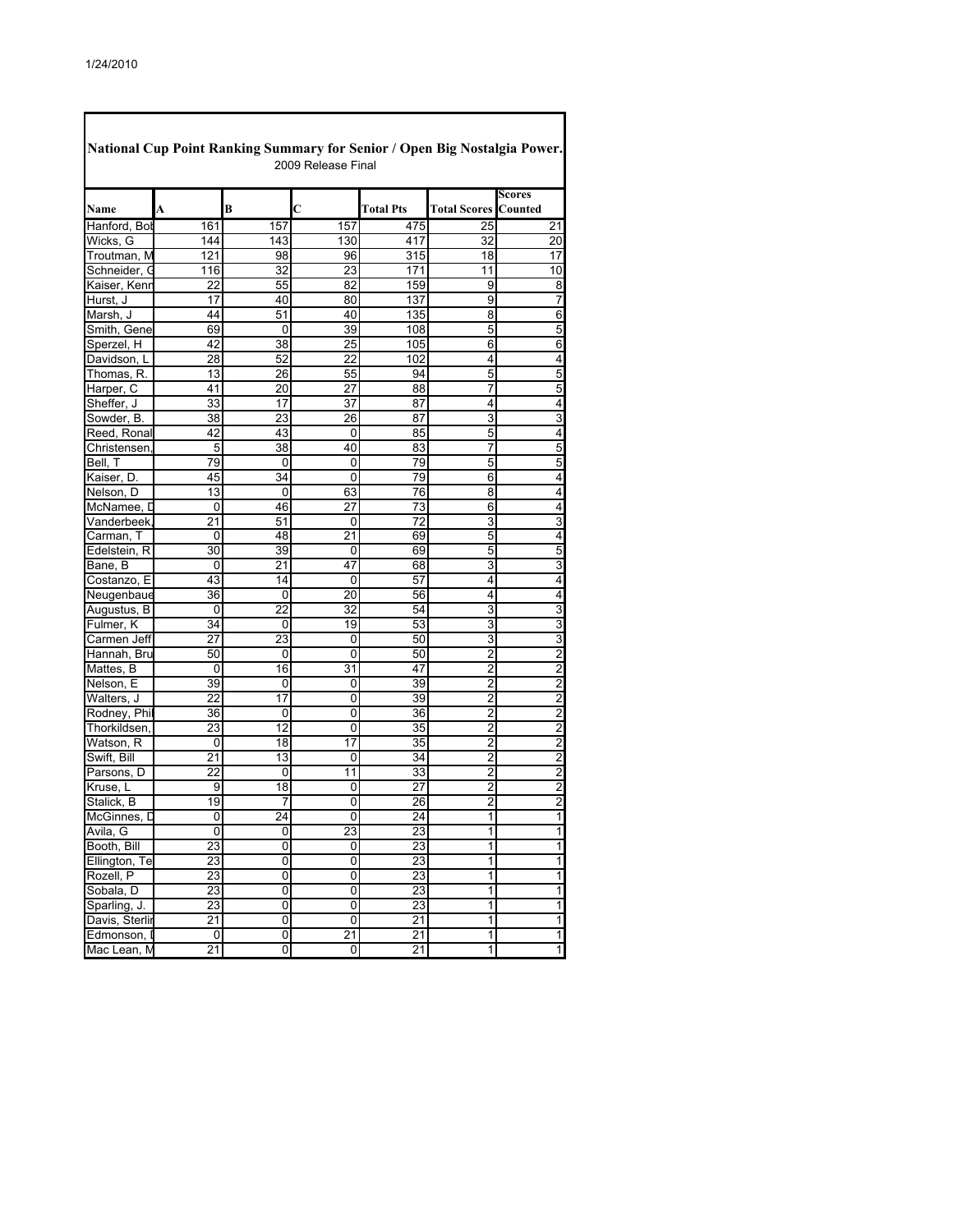Г

| National Cup Point Ranking Summary for Senior / Open Big Nostalgia Power.<br>2009 Release Final |                 |     |     |                  |                             |                         |  |  |  |  |
|-------------------------------------------------------------------------------------------------|-----------------|-----|-----|------------------|-----------------------------|-------------------------|--|--|--|--|
| Name                                                                                            | A               | B   | C   | <b>Total Pts</b> | <b>Total Scores Counted</b> | Scores                  |  |  |  |  |
| Hanford, Bol                                                                                    | 161             | 157 | 157 | 475              | 25                          | 21                      |  |  |  |  |
| Wicks, G                                                                                        | 144             | 143 | 130 | 417              | 32                          | 20                      |  |  |  |  |
| Troutman, M                                                                                     | 121             | 98  | 96  | 315              | 18                          | 17                      |  |  |  |  |
| Schneider, G                                                                                    | 116             | 32  | 23  | 171              | 11                          | 10                      |  |  |  |  |
| Kaiser, Kenr                                                                                    | 22              | 55  | 82  | 159              | 9                           | 8                       |  |  |  |  |
| Hurst. J                                                                                        | 17              | 40  | 80  | 137              | 9                           | 7                       |  |  |  |  |
| Marsh, J                                                                                        | 44              | 51  | 40  | 135              | 8                           | 6                       |  |  |  |  |
| Smith, Gene                                                                                     | 69              | 0   | 39  | 108              | 5                           | 5                       |  |  |  |  |
| Sperzel, H                                                                                      | 42              | 38  | 25  | 105              | 6                           | 6                       |  |  |  |  |
| Davidson, L                                                                                     | 28              | 52  | 22  | 102              | 4                           | 4                       |  |  |  |  |
| Thomas, R.                                                                                      | 13              | 26  | 55  | 94               | 5                           | 5                       |  |  |  |  |
| Harper, C                                                                                       | 41              | 20  | 27  | 88               | 7                           | 5                       |  |  |  |  |
| Sheffer, J                                                                                      | 33              | 17  | 37  | 87               | 4                           | 4                       |  |  |  |  |
| Sowder, B.                                                                                      | 38              | 23  | 26  | 87               | 3                           | 3                       |  |  |  |  |
| Reed, Ronal                                                                                     | 42              | 43  | 0   | 85               | 5                           | 4                       |  |  |  |  |
| Christensen                                                                                     | 5               | 38  | 40  | 83               | 7                           | 5                       |  |  |  |  |
| Bell, T                                                                                         | 79              | 0   | 0   | 79               | 5                           | 5                       |  |  |  |  |
| Kaiser, D.                                                                                      | 45              | 34  | 0   | 79               | 6                           | 4                       |  |  |  |  |
| Nelson, D                                                                                       | 13              | 0   | 63  | 76               | 8                           | 4                       |  |  |  |  |
| McNamee, D                                                                                      | 0               | 46  | 27  | 73               | 6                           | 4                       |  |  |  |  |
| Vanderbeek                                                                                      | 21              | 51  | 0   | 72               | 3                           | 3                       |  |  |  |  |
| Carman, T                                                                                       | 0               | 48  | 21  | 69               | 5                           | 4                       |  |  |  |  |
| Edelstein, R                                                                                    | 30              | 39  | 0   | 69               | 5                           | 5                       |  |  |  |  |
| Bane, B                                                                                         | 0               | 21  | 47  | 68               | 3                           | 3                       |  |  |  |  |
| Costanzo, E                                                                                     | 43              | 14  | 0   | 57               | 4                           | 4                       |  |  |  |  |
| Neugenbaue                                                                                      | 36              | 0   | 20  | 56               | 4                           | 4                       |  |  |  |  |
| Augustus, B                                                                                     | 0               | 22  | 32  | 54               | 3                           | 3                       |  |  |  |  |
| Fulmer, K                                                                                       | 34              | 0   | 19  | 53               | 3                           | 3                       |  |  |  |  |
| Carmen Jeff                                                                                     | 27              | 23  | 0   | 50               | 3                           | 3                       |  |  |  |  |
| Hannah, Bru                                                                                     | 50              | 0   | 0   | 50               | $\overline{2}$              | $\overline{2}$          |  |  |  |  |
| Mattes, B                                                                                       | 0               | 16  | 31  | 47               | 2                           | $\overline{2}$          |  |  |  |  |
| Nelson, E                                                                                       | 39              | 0   | 0   | 39               | $\overline{2}$              | $\overline{2}$          |  |  |  |  |
| Walters, J                                                                                      | 22              | 17  | 0   | 39               | 2                           | $\overline{\mathbf{c}}$ |  |  |  |  |
| Rodney, Phil                                                                                    | 36              | 0   | 0   | 36               | $\overline{2}$              | $\overline{2}$          |  |  |  |  |
| Thorkildsen.                                                                                    | 23              | 12  | 0   | 35               | $\overline{2}$              | $\overline{2}$          |  |  |  |  |
| Watson, R                                                                                       | 0               | 18  | 17  | 35               | $\overline{2}$              | $\overline{\mathbf{c}}$ |  |  |  |  |
| Swift, Bill                                                                                     | 21              | 13  | 0   | 34               | $\overline{2}$              | $\overline{2}$          |  |  |  |  |
| Parsons, D                                                                                      | 22              | 0   | 11  | 33               | 2                           | $\overline{\mathbf{c}}$ |  |  |  |  |
| Kruse, L                                                                                        | 9               | 18  | 0   | 27               | $\overline{c}$              | $\overline{\mathbf{c}}$ |  |  |  |  |
| Stalick, B                                                                                      | 19              | 7   | 0   | 26               | 2                           | $\overline{c}$          |  |  |  |  |
| McGinnes, D                                                                                     | 0               | 24  | 0   | 24               | 1                           | 1                       |  |  |  |  |
| Avila, G                                                                                        | 0               | 0   | 23  | 23               | 1                           | $\mathbf{1}$            |  |  |  |  |
| Booth, Bill                                                                                     | 23              | 0   | 0   | 23               | 1                           | 1                       |  |  |  |  |
| Ellington, Te                                                                                   | 23              | 0   | 0   | 23               | 1                           | $\mathbf{1}$            |  |  |  |  |
| Rozell, P                                                                                       | 23              | 0   | 0   | 23               | 1                           | $\mathbf{1}$            |  |  |  |  |
| Sobala, D                                                                                       | 23              | 0   | 0   | 23               | 1                           | $\mathbf{1}$            |  |  |  |  |
| Sparling, J.                                                                                    | 23              | 0   | 0   | $\overline{23}$  | 1                           | $\overline{\mathbf{1}}$ |  |  |  |  |
| Davis, Sterlir                                                                                  | $\overline{21}$ | 0   | 0   | 21               | 1                           | $\overline{\mathbf{1}}$ |  |  |  |  |
| Edmonson, I                                                                                     | 0               | 0   | 21  | $\overline{21}$  | 1                           | $\overline{\mathbf{1}}$ |  |  |  |  |
| Mac Lean, M                                                                                     | $\overline{21}$ | 0   | 0   | 21               | 1                           | $\overline{1}$          |  |  |  |  |
|                                                                                                 |                 |     |     |                  |                             |                         |  |  |  |  |

٦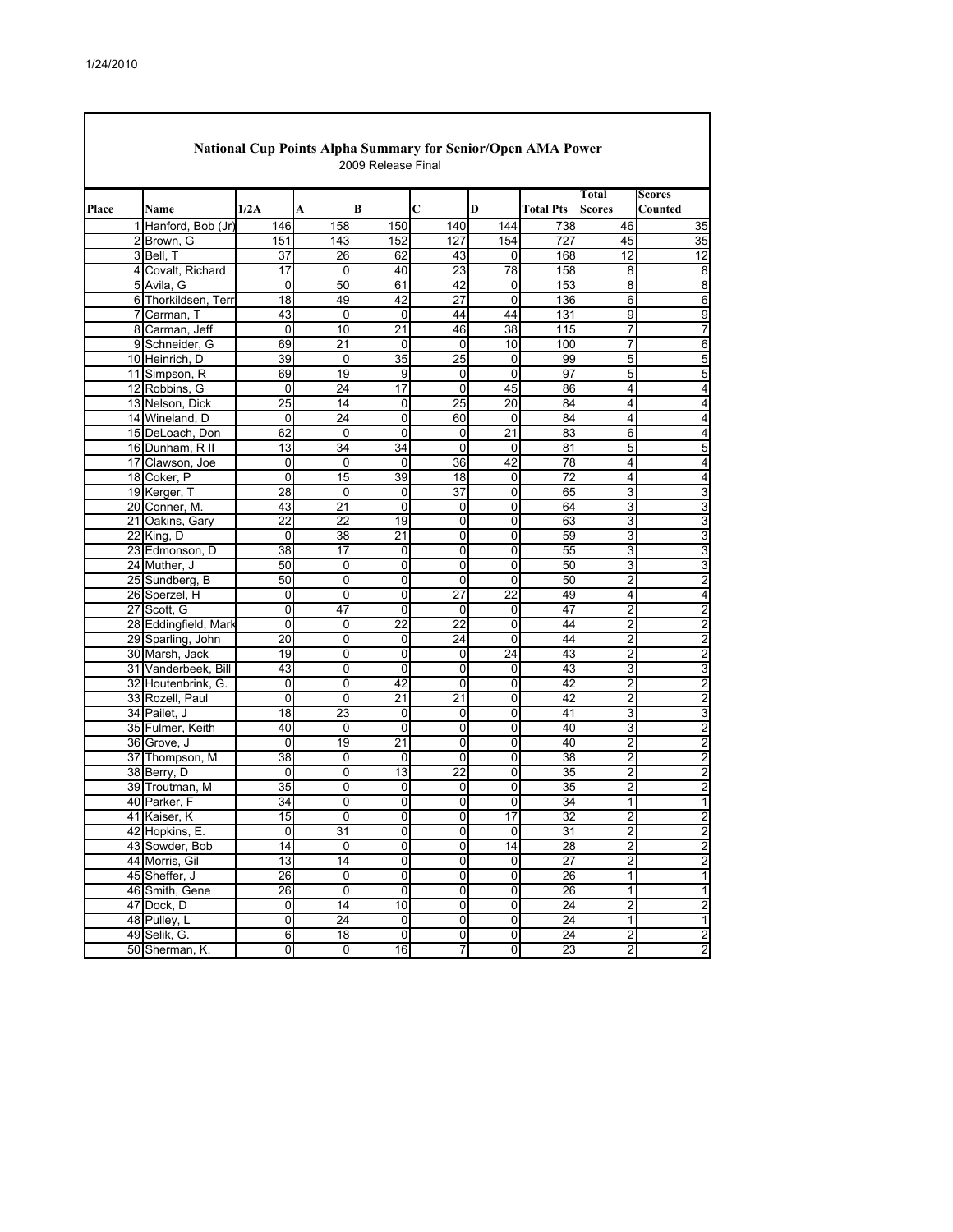| Total<br><b>Scores</b><br>Place<br>1/2A<br>B<br>C<br>D<br><b>Total Pts</b><br>Counted<br>Name<br>A<br><b>Scores</b><br>1 Hanford, Bob (Jr)<br>146<br>158<br>150<br>140<br>738<br>46<br>35<br>144<br>2 Brown, G<br>143<br>152<br>154<br>727<br>45<br>35<br>151<br>127<br>12<br>12<br>3 Bell, T<br>37<br>26<br>62<br>43<br>168<br>0<br>4 Covalt, Richard<br>17<br>40<br>23<br>78<br>158<br>0<br>8<br>8<br>5 Avila, G<br>50<br>153<br>0<br>61<br>42<br>0<br>8<br>8<br>18<br>49<br>42<br>27<br>0<br>136<br>6 Thorkildsen, Terr<br>6<br>6<br>7 Carman, T<br>43<br>$\mathbf 0$<br>44<br>44<br>131<br>9<br>0<br>9<br>10<br>21<br>46<br>38<br>115<br>7<br>8 Carman, Jeff<br>0<br>7<br>9 Schneider, G<br>69<br>21<br>10<br>100<br>0<br>0<br>7<br>6<br>25<br>10 Heinrich, D<br>39<br>35<br>99<br>5<br>5<br>0<br>0<br>19<br>5<br>$\overline{5}$<br>69<br>9<br>$\mathbf 0$<br>0<br>97<br>11 Simpson, R<br>24<br>17<br>$\mathbf 0$<br>45<br>12 Robbins, G<br>0<br>86<br>4<br>4<br>25<br>14<br>$\mathbf 0$<br>25<br>20<br>84<br>13 Nelson, Dick<br>4<br>4<br>14 Wineland, D<br>24<br>60<br>0<br>0<br>0<br>84<br>4<br>4<br>21<br>15 DeLoach, Don<br>62<br>0<br>0<br>0<br>83<br>6<br>4<br>13<br>34<br>34<br>81<br>0<br>0<br>5<br>5<br>16 Dunham, R II<br>42<br>17 Clawson, Joe<br>0<br>0<br>0<br>36<br>78<br>4<br>4<br>15<br>0<br>39<br>18<br>72<br>18 Coker, P<br>0<br>4<br>4<br>28<br>$\mathbf 0$<br>37<br>3<br>3<br>19 Kerger, T<br>0<br>0<br>65<br>20 Conner, M.<br>43<br>21<br>$\mathbf 0$<br>64<br>3<br>3<br>0<br>0<br>22<br>22<br>19<br>$\mathbf 0$<br>63<br>3<br>21 Oakins, Gary<br>0<br>3<br>21<br>3<br>3<br>22 King, D<br>38<br>0<br>0<br>59<br>0<br>38<br>23 Edmonson, D<br>17<br>$\mathbf 0$<br>0<br>55<br>3<br>3<br>0<br>24 Muther, J<br>50<br>0<br>0<br>0<br>0<br>50<br>3<br>3<br>$\overline{c}$<br>50<br>0<br>0<br>$\mathbf 0$<br>0<br>50<br>$\overline{2}$<br>25 Sundberg, B<br>$\overline{27}$<br>26 Sperzel, H<br>0<br>22<br>49<br>0<br>0<br>4<br>4<br>27 Scott, G<br>47<br>2<br>$\overline{2}$<br>0<br>0<br>47<br>0<br>0<br>28 Eddingfield, Marl<br>0<br>0<br>22<br>22<br>2<br>$\overline{2}$<br>0<br>44<br>29 Sparling, John<br>0<br>2<br>20<br>0<br>24<br>0<br>44<br>$\overline{c}$<br>30 Marsh, Jack<br>19<br>0<br>$\mathbf 0$<br>24<br>43<br>$\overline{2}$<br>$\overline{c}$<br>0<br>31 Vanderbeek, Bill<br>43<br>0<br>$\mathbf 0$<br>0<br>43<br>3<br>3<br>0<br>$\overline{c}$<br>$\overline{2}$<br>0<br>42<br>0<br>0<br>42<br>32 Houtenbrink, G.<br>0<br>0<br>21<br>21<br>42<br>2<br>33 Rozell, Paul<br>0<br>0<br>2<br>23<br>3<br>34 Pailet, J<br>18<br>0<br>3<br>0<br>41<br>0<br>0<br>$\mathbf 0$<br>$\mathbf 0$<br>0<br>40<br>3<br>$\overline{c}$<br>35 Fulmer, Keith<br>40<br>19<br>21<br>2<br>36 Grove, J<br>0<br>0<br>0<br>40<br>$\overline{\mathbf{c}}$<br>38<br>$\overline{c}$<br>37 Thompson, M<br>38<br>$\mathbf 0$<br>$\overline{2}$<br>0<br>0<br>0<br>$\overline{22}$<br>38 Berry, D<br>0<br>13<br>2<br>2<br>0<br>0<br>35<br>35<br>35<br>2<br>39 Troutman, M<br>0<br>0<br>2<br>0<br>0<br>34<br>0<br>34<br>40 Parker, F<br>0<br>0<br>0<br>1<br>1<br>41 Kaiser, K<br>15<br>0<br>0<br>0<br>17<br>32<br>2<br>2<br>42 Hopkins, E.<br>31<br>$\pmb{0}$<br>0<br>0<br>31<br>$\overline{\mathbf{c}}$<br>$\overline{2}$<br>0<br>$\overline{0}$<br>14<br>28<br>$\overline{2}$<br>$\overline{c}$<br>43 Sowder, Bob<br>14<br>$\mathsf 0$<br>$\pmb{0}$<br>$\overline{2}$<br>$\overline{2}$<br>$\overline{0}$<br>$\overline{27}$<br>44 Morris, Gil<br>13<br>14<br>$\pmb{0}$<br>$\pmb{0}$<br>$\overline{26}$<br>45 Sheffer, J<br>0<br>0<br>0<br>0<br>26<br>1<br>1<br>26<br>$\mathsf 0$<br>$\pmb{0}$<br>$\pmb{0}$<br>$\pmb{0}$<br>26<br>1<br>1<br>46 Smith, Gene<br>0<br>14<br>10<br>$\overline{0}$<br>$\overline{24}$<br>$\overline{2}$<br>47 Dock, D<br>0<br>$\overline{\mathbf{c}}$<br>48 Pulley, L<br>0<br>24<br>$\pmb{0}$<br>$\pmb{0}$<br>$\pmb{0}$<br>24<br>1<br>1<br>$\overline{18}$<br>24<br>$\overline{2}$<br>49 Selik, G.<br>6<br>0<br>$\pmb{0}$<br>0<br>$\overline{2}$<br>$\overline{0}$<br>23<br>2<br>50 Sherman, K.<br>o<br>o<br>$\overline{6}$<br>7 | National Cup Points Alpha Summary for Senior/Open AMA Power<br>2009 Release Final |  |  |  |  |  |  |  |   |  |  |  |
|---------------------------------------------------------------------------------------------------------------------------------------------------------------------------------------------------------------------------------------------------------------------------------------------------------------------------------------------------------------------------------------------------------------------------------------------------------------------------------------------------------------------------------------------------------------------------------------------------------------------------------------------------------------------------------------------------------------------------------------------------------------------------------------------------------------------------------------------------------------------------------------------------------------------------------------------------------------------------------------------------------------------------------------------------------------------------------------------------------------------------------------------------------------------------------------------------------------------------------------------------------------------------------------------------------------------------------------------------------------------------------------------------------------------------------------------------------------------------------------------------------------------------------------------------------------------------------------------------------------------------------------------------------------------------------------------------------------------------------------------------------------------------------------------------------------------------------------------------------------------------------------------------------------------------------------------------------------------------------------------------------------------------------------------------------------------------------------------------------------------------------------------------------------------------------------------------------------------------------------------------------------------------------------------------------------------------------------------------------------------------------------------------------------------------------------------------------------------------------------------------------------------------------------------------------------------------------------------------------------------------------------------------------------------------------------------------------------------------------------------------------------------------------------------------------------------------------------------------------------------------------------------------------------------------------------------------------------------------------------------------------------------------------------------------------------------------------------------------------------------------------------------------------------------------------------------------------------------------------------------------------------------------------------------------------------------------------------------------------------------------------------------------------------------------------------------------------------------------------------------------------------------------------------------------------------------------------------------------------------------------------------------------------------------------------------------------------------------------------------------------------------------------------------------------------------------------------------------------------------------------------------------------------------------------------------------------------------------------------------------------------------------------------------------------------------------|-----------------------------------------------------------------------------------|--|--|--|--|--|--|--|---|--|--|--|
|                                                                                                                                                                                                                                                                                                                                                                                                                                                                                                                                                                                                                                                                                                                                                                                                                                                                                                                                                                                                                                                                                                                                                                                                                                                                                                                                                                                                                                                                                                                                                                                                                                                                                                                                                                                                                                                                                                                                                                                                                                                                                                                                                                                                                                                                                                                                                                                                                                                                                                                                                                                                                                                                                                                                                                                                                                                                                                                                                                                                                                                                                                                                                                                                                                                                                                                                                                                                                                                                                                                                                                                                                                                                                                                                                                                                                                                                                                                                                                                                                                                                     |                                                                                   |  |  |  |  |  |  |  |   |  |  |  |
|                                                                                                                                                                                                                                                                                                                                                                                                                                                                                                                                                                                                                                                                                                                                                                                                                                                                                                                                                                                                                                                                                                                                                                                                                                                                                                                                                                                                                                                                                                                                                                                                                                                                                                                                                                                                                                                                                                                                                                                                                                                                                                                                                                                                                                                                                                                                                                                                                                                                                                                                                                                                                                                                                                                                                                                                                                                                                                                                                                                                                                                                                                                                                                                                                                                                                                                                                                                                                                                                                                                                                                                                                                                                                                                                                                                                                                                                                                                                                                                                                                                                     |                                                                                   |  |  |  |  |  |  |  |   |  |  |  |
|                                                                                                                                                                                                                                                                                                                                                                                                                                                                                                                                                                                                                                                                                                                                                                                                                                                                                                                                                                                                                                                                                                                                                                                                                                                                                                                                                                                                                                                                                                                                                                                                                                                                                                                                                                                                                                                                                                                                                                                                                                                                                                                                                                                                                                                                                                                                                                                                                                                                                                                                                                                                                                                                                                                                                                                                                                                                                                                                                                                                                                                                                                                                                                                                                                                                                                                                                                                                                                                                                                                                                                                                                                                                                                                                                                                                                                                                                                                                                                                                                                                                     |                                                                                   |  |  |  |  |  |  |  |   |  |  |  |
|                                                                                                                                                                                                                                                                                                                                                                                                                                                                                                                                                                                                                                                                                                                                                                                                                                                                                                                                                                                                                                                                                                                                                                                                                                                                                                                                                                                                                                                                                                                                                                                                                                                                                                                                                                                                                                                                                                                                                                                                                                                                                                                                                                                                                                                                                                                                                                                                                                                                                                                                                                                                                                                                                                                                                                                                                                                                                                                                                                                                                                                                                                                                                                                                                                                                                                                                                                                                                                                                                                                                                                                                                                                                                                                                                                                                                                                                                                                                                                                                                                                                     |                                                                                   |  |  |  |  |  |  |  |   |  |  |  |
|                                                                                                                                                                                                                                                                                                                                                                                                                                                                                                                                                                                                                                                                                                                                                                                                                                                                                                                                                                                                                                                                                                                                                                                                                                                                                                                                                                                                                                                                                                                                                                                                                                                                                                                                                                                                                                                                                                                                                                                                                                                                                                                                                                                                                                                                                                                                                                                                                                                                                                                                                                                                                                                                                                                                                                                                                                                                                                                                                                                                                                                                                                                                                                                                                                                                                                                                                                                                                                                                                                                                                                                                                                                                                                                                                                                                                                                                                                                                                                                                                                                                     |                                                                                   |  |  |  |  |  |  |  |   |  |  |  |
|                                                                                                                                                                                                                                                                                                                                                                                                                                                                                                                                                                                                                                                                                                                                                                                                                                                                                                                                                                                                                                                                                                                                                                                                                                                                                                                                                                                                                                                                                                                                                                                                                                                                                                                                                                                                                                                                                                                                                                                                                                                                                                                                                                                                                                                                                                                                                                                                                                                                                                                                                                                                                                                                                                                                                                                                                                                                                                                                                                                                                                                                                                                                                                                                                                                                                                                                                                                                                                                                                                                                                                                                                                                                                                                                                                                                                                                                                                                                                                                                                                                                     |                                                                                   |  |  |  |  |  |  |  |   |  |  |  |
|                                                                                                                                                                                                                                                                                                                                                                                                                                                                                                                                                                                                                                                                                                                                                                                                                                                                                                                                                                                                                                                                                                                                                                                                                                                                                                                                                                                                                                                                                                                                                                                                                                                                                                                                                                                                                                                                                                                                                                                                                                                                                                                                                                                                                                                                                                                                                                                                                                                                                                                                                                                                                                                                                                                                                                                                                                                                                                                                                                                                                                                                                                                                                                                                                                                                                                                                                                                                                                                                                                                                                                                                                                                                                                                                                                                                                                                                                                                                                                                                                                                                     |                                                                                   |  |  |  |  |  |  |  |   |  |  |  |
|                                                                                                                                                                                                                                                                                                                                                                                                                                                                                                                                                                                                                                                                                                                                                                                                                                                                                                                                                                                                                                                                                                                                                                                                                                                                                                                                                                                                                                                                                                                                                                                                                                                                                                                                                                                                                                                                                                                                                                                                                                                                                                                                                                                                                                                                                                                                                                                                                                                                                                                                                                                                                                                                                                                                                                                                                                                                                                                                                                                                                                                                                                                                                                                                                                                                                                                                                                                                                                                                                                                                                                                                                                                                                                                                                                                                                                                                                                                                                                                                                                                                     |                                                                                   |  |  |  |  |  |  |  |   |  |  |  |
|                                                                                                                                                                                                                                                                                                                                                                                                                                                                                                                                                                                                                                                                                                                                                                                                                                                                                                                                                                                                                                                                                                                                                                                                                                                                                                                                                                                                                                                                                                                                                                                                                                                                                                                                                                                                                                                                                                                                                                                                                                                                                                                                                                                                                                                                                                                                                                                                                                                                                                                                                                                                                                                                                                                                                                                                                                                                                                                                                                                                                                                                                                                                                                                                                                                                                                                                                                                                                                                                                                                                                                                                                                                                                                                                                                                                                                                                                                                                                                                                                                                                     |                                                                                   |  |  |  |  |  |  |  |   |  |  |  |
|                                                                                                                                                                                                                                                                                                                                                                                                                                                                                                                                                                                                                                                                                                                                                                                                                                                                                                                                                                                                                                                                                                                                                                                                                                                                                                                                                                                                                                                                                                                                                                                                                                                                                                                                                                                                                                                                                                                                                                                                                                                                                                                                                                                                                                                                                                                                                                                                                                                                                                                                                                                                                                                                                                                                                                                                                                                                                                                                                                                                                                                                                                                                                                                                                                                                                                                                                                                                                                                                                                                                                                                                                                                                                                                                                                                                                                                                                                                                                                                                                                                                     |                                                                                   |  |  |  |  |  |  |  |   |  |  |  |
|                                                                                                                                                                                                                                                                                                                                                                                                                                                                                                                                                                                                                                                                                                                                                                                                                                                                                                                                                                                                                                                                                                                                                                                                                                                                                                                                                                                                                                                                                                                                                                                                                                                                                                                                                                                                                                                                                                                                                                                                                                                                                                                                                                                                                                                                                                                                                                                                                                                                                                                                                                                                                                                                                                                                                                                                                                                                                                                                                                                                                                                                                                                                                                                                                                                                                                                                                                                                                                                                                                                                                                                                                                                                                                                                                                                                                                                                                                                                                                                                                                                                     |                                                                                   |  |  |  |  |  |  |  |   |  |  |  |
|                                                                                                                                                                                                                                                                                                                                                                                                                                                                                                                                                                                                                                                                                                                                                                                                                                                                                                                                                                                                                                                                                                                                                                                                                                                                                                                                                                                                                                                                                                                                                                                                                                                                                                                                                                                                                                                                                                                                                                                                                                                                                                                                                                                                                                                                                                                                                                                                                                                                                                                                                                                                                                                                                                                                                                                                                                                                                                                                                                                                                                                                                                                                                                                                                                                                                                                                                                                                                                                                                                                                                                                                                                                                                                                                                                                                                                                                                                                                                                                                                                                                     |                                                                                   |  |  |  |  |  |  |  |   |  |  |  |
|                                                                                                                                                                                                                                                                                                                                                                                                                                                                                                                                                                                                                                                                                                                                                                                                                                                                                                                                                                                                                                                                                                                                                                                                                                                                                                                                                                                                                                                                                                                                                                                                                                                                                                                                                                                                                                                                                                                                                                                                                                                                                                                                                                                                                                                                                                                                                                                                                                                                                                                                                                                                                                                                                                                                                                                                                                                                                                                                                                                                                                                                                                                                                                                                                                                                                                                                                                                                                                                                                                                                                                                                                                                                                                                                                                                                                                                                                                                                                                                                                                                                     |                                                                                   |  |  |  |  |  |  |  |   |  |  |  |
|                                                                                                                                                                                                                                                                                                                                                                                                                                                                                                                                                                                                                                                                                                                                                                                                                                                                                                                                                                                                                                                                                                                                                                                                                                                                                                                                                                                                                                                                                                                                                                                                                                                                                                                                                                                                                                                                                                                                                                                                                                                                                                                                                                                                                                                                                                                                                                                                                                                                                                                                                                                                                                                                                                                                                                                                                                                                                                                                                                                                                                                                                                                                                                                                                                                                                                                                                                                                                                                                                                                                                                                                                                                                                                                                                                                                                                                                                                                                                                                                                                                                     |                                                                                   |  |  |  |  |  |  |  |   |  |  |  |
|                                                                                                                                                                                                                                                                                                                                                                                                                                                                                                                                                                                                                                                                                                                                                                                                                                                                                                                                                                                                                                                                                                                                                                                                                                                                                                                                                                                                                                                                                                                                                                                                                                                                                                                                                                                                                                                                                                                                                                                                                                                                                                                                                                                                                                                                                                                                                                                                                                                                                                                                                                                                                                                                                                                                                                                                                                                                                                                                                                                                                                                                                                                                                                                                                                                                                                                                                                                                                                                                                                                                                                                                                                                                                                                                                                                                                                                                                                                                                                                                                                                                     |                                                                                   |  |  |  |  |  |  |  |   |  |  |  |
|                                                                                                                                                                                                                                                                                                                                                                                                                                                                                                                                                                                                                                                                                                                                                                                                                                                                                                                                                                                                                                                                                                                                                                                                                                                                                                                                                                                                                                                                                                                                                                                                                                                                                                                                                                                                                                                                                                                                                                                                                                                                                                                                                                                                                                                                                                                                                                                                                                                                                                                                                                                                                                                                                                                                                                                                                                                                                                                                                                                                                                                                                                                                                                                                                                                                                                                                                                                                                                                                                                                                                                                                                                                                                                                                                                                                                                                                                                                                                                                                                                                                     |                                                                                   |  |  |  |  |  |  |  |   |  |  |  |
|                                                                                                                                                                                                                                                                                                                                                                                                                                                                                                                                                                                                                                                                                                                                                                                                                                                                                                                                                                                                                                                                                                                                                                                                                                                                                                                                                                                                                                                                                                                                                                                                                                                                                                                                                                                                                                                                                                                                                                                                                                                                                                                                                                                                                                                                                                                                                                                                                                                                                                                                                                                                                                                                                                                                                                                                                                                                                                                                                                                                                                                                                                                                                                                                                                                                                                                                                                                                                                                                                                                                                                                                                                                                                                                                                                                                                                                                                                                                                                                                                                                                     |                                                                                   |  |  |  |  |  |  |  |   |  |  |  |
|                                                                                                                                                                                                                                                                                                                                                                                                                                                                                                                                                                                                                                                                                                                                                                                                                                                                                                                                                                                                                                                                                                                                                                                                                                                                                                                                                                                                                                                                                                                                                                                                                                                                                                                                                                                                                                                                                                                                                                                                                                                                                                                                                                                                                                                                                                                                                                                                                                                                                                                                                                                                                                                                                                                                                                                                                                                                                                                                                                                                                                                                                                                                                                                                                                                                                                                                                                                                                                                                                                                                                                                                                                                                                                                                                                                                                                                                                                                                                                                                                                                                     |                                                                                   |  |  |  |  |  |  |  |   |  |  |  |
|                                                                                                                                                                                                                                                                                                                                                                                                                                                                                                                                                                                                                                                                                                                                                                                                                                                                                                                                                                                                                                                                                                                                                                                                                                                                                                                                                                                                                                                                                                                                                                                                                                                                                                                                                                                                                                                                                                                                                                                                                                                                                                                                                                                                                                                                                                                                                                                                                                                                                                                                                                                                                                                                                                                                                                                                                                                                                                                                                                                                                                                                                                                                                                                                                                                                                                                                                                                                                                                                                                                                                                                                                                                                                                                                                                                                                                                                                                                                                                                                                                                                     |                                                                                   |  |  |  |  |  |  |  |   |  |  |  |
|                                                                                                                                                                                                                                                                                                                                                                                                                                                                                                                                                                                                                                                                                                                                                                                                                                                                                                                                                                                                                                                                                                                                                                                                                                                                                                                                                                                                                                                                                                                                                                                                                                                                                                                                                                                                                                                                                                                                                                                                                                                                                                                                                                                                                                                                                                                                                                                                                                                                                                                                                                                                                                                                                                                                                                                                                                                                                                                                                                                                                                                                                                                                                                                                                                                                                                                                                                                                                                                                                                                                                                                                                                                                                                                                                                                                                                                                                                                                                                                                                                                                     |                                                                                   |  |  |  |  |  |  |  |   |  |  |  |
|                                                                                                                                                                                                                                                                                                                                                                                                                                                                                                                                                                                                                                                                                                                                                                                                                                                                                                                                                                                                                                                                                                                                                                                                                                                                                                                                                                                                                                                                                                                                                                                                                                                                                                                                                                                                                                                                                                                                                                                                                                                                                                                                                                                                                                                                                                                                                                                                                                                                                                                                                                                                                                                                                                                                                                                                                                                                                                                                                                                                                                                                                                                                                                                                                                                                                                                                                                                                                                                                                                                                                                                                                                                                                                                                                                                                                                                                                                                                                                                                                                                                     |                                                                                   |  |  |  |  |  |  |  |   |  |  |  |
|                                                                                                                                                                                                                                                                                                                                                                                                                                                                                                                                                                                                                                                                                                                                                                                                                                                                                                                                                                                                                                                                                                                                                                                                                                                                                                                                                                                                                                                                                                                                                                                                                                                                                                                                                                                                                                                                                                                                                                                                                                                                                                                                                                                                                                                                                                                                                                                                                                                                                                                                                                                                                                                                                                                                                                                                                                                                                                                                                                                                                                                                                                                                                                                                                                                                                                                                                                                                                                                                                                                                                                                                                                                                                                                                                                                                                                                                                                                                                                                                                                                                     |                                                                                   |  |  |  |  |  |  |  |   |  |  |  |
|                                                                                                                                                                                                                                                                                                                                                                                                                                                                                                                                                                                                                                                                                                                                                                                                                                                                                                                                                                                                                                                                                                                                                                                                                                                                                                                                                                                                                                                                                                                                                                                                                                                                                                                                                                                                                                                                                                                                                                                                                                                                                                                                                                                                                                                                                                                                                                                                                                                                                                                                                                                                                                                                                                                                                                                                                                                                                                                                                                                                                                                                                                                                                                                                                                                                                                                                                                                                                                                                                                                                                                                                                                                                                                                                                                                                                                                                                                                                                                                                                                                                     |                                                                                   |  |  |  |  |  |  |  |   |  |  |  |
|                                                                                                                                                                                                                                                                                                                                                                                                                                                                                                                                                                                                                                                                                                                                                                                                                                                                                                                                                                                                                                                                                                                                                                                                                                                                                                                                                                                                                                                                                                                                                                                                                                                                                                                                                                                                                                                                                                                                                                                                                                                                                                                                                                                                                                                                                                                                                                                                                                                                                                                                                                                                                                                                                                                                                                                                                                                                                                                                                                                                                                                                                                                                                                                                                                                                                                                                                                                                                                                                                                                                                                                                                                                                                                                                                                                                                                                                                                                                                                                                                                                                     |                                                                                   |  |  |  |  |  |  |  |   |  |  |  |
|                                                                                                                                                                                                                                                                                                                                                                                                                                                                                                                                                                                                                                                                                                                                                                                                                                                                                                                                                                                                                                                                                                                                                                                                                                                                                                                                                                                                                                                                                                                                                                                                                                                                                                                                                                                                                                                                                                                                                                                                                                                                                                                                                                                                                                                                                                                                                                                                                                                                                                                                                                                                                                                                                                                                                                                                                                                                                                                                                                                                                                                                                                                                                                                                                                                                                                                                                                                                                                                                                                                                                                                                                                                                                                                                                                                                                                                                                                                                                                                                                                                                     |                                                                                   |  |  |  |  |  |  |  |   |  |  |  |
|                                                                                                                                                                                                                                                                                                                                                                                                                                                                                                                                                                                                                                                                                                                                                                                                                                                                                                                                                                                                                                                                                                                                                                                                                                                                                                                                                                                                                                                                                                                                                                                                                                                                                                                                                                                                                                                                                                                                                                                                                                                                                                                                                                                                                                                                                                                                                                                                                                                                                                                                                                                                                                                                                                                                                                                                                                                                                                                                                                                                                                                                                                                                                                                                                                                                                                                                                                                                                                                                                                                                                                                                                                                                                                                                                                                                                                                                                                                                                                                                                                                                     |                                                                                   |  |  |  |  |  |  |  |   |  |  |  |
|                                                                                                                                                                                                                                                                                                                                                                                                                                                                                                                                                                                                                                                                                                                                                                                                                                                                                                                                                                                                                                                                                                                                                                                                                                                                                                                                                                                                                                                                                                                                                                                                                                                                                                                                                                                                                                                                                                                                                                                                                                                                                                                                                                                                                                                                                                                                                                                                                                                                                                                                                                                                                                                                                                                                                                                                                                                                                                                                                                                                                                                                                                                                                                                                                                                                                                                                                                                                                                                                                                                                                                                                                                                                                                                                                                                                                                                                                                                                                                                                                                                                     |                                                                                   |  |  |  |  |  |  |  |   |  |  |  |
|                                                                                                                                                                                                                                                                                                                                                                                                                                                                                                                                                                                                                                                                                                                                                                                                                                                                                                                                                                                                                                                                                                                                                                                                                                                                                                                                                                                                                                                                                                                                                                                                                                                                                                                                                                                                                                                                                                                                                                                                                                                                                                                                                                                                                                                                                                                                                                                                                                                                                                                                                                                                                                                                                                                                                                                                                                                                                                                                                                                                                                                                                                                                                                                                                                                                                                                                                                                                                                                                                                                                                                                                                                                                                                                                                                                                                                                                                                                                                                                                                                                                     |                                                                                   |  |  |  |  |  |  |  |   |  |  |  |
|                                                                                                                                                                                                                                                                                                                                                                                                                                                                                                                                                                                                                                                                                                                                                                                                                                                                                                                                                                                                                                                                                                                                                                                                                                                                                                                                                                                                                                                                                                                                                                                                                                                                                                                                                                                                                                                                                                                                                                                                                                                                                                                                                                                                                                                                                                                                                                                                                                                                                                                                                                                                                                                                                                                                                                                                                                                                                                                                                                                                                                                                                                                                                                                                                                                                                                                                                                                                                                                                                                                                                                                                                                                                                                                                                                                                                                                                                                                                                                                                                                                                     |                                                                                   |  |  |  |  |  |  |  |   |  |  |  |
|                                                                                                                                                                                                                                                                                                                                                                                                                                                                                                                                                                                                                                                                                                                                                                                                                                                                                                                                                                                                                                                                                                                                                                                                                                                                                                                                                                                                                                                                                                                                                                                                                                                                                                                                                                                                                                                                                                                                                                                                                                                                                                                                                                                                                                                                                                                                                                                                                                                                                                                                                                                                                                                                                                                                                                                                                                                                                                                                                                                                                                                                                                                                                                                                                                                                                                                                                                                                                                                                                                                                                                                                                                                                                                                                                                                                                                                                                                                                                                                                                                                                     |                                                                                   |  |  |  |  |  |  |  |   |  |  |  |
|                                                                                                                                                                                                                                                                                                                                                                                                                                                                                                                                                                                                                                                                                                                                                                                                                                                                                                                                                                                                                                                                                                                                                                                                                                                                                                                                                                                                                                                                                                                                                                                                                                                                                                                                                                                                                                                                                                                                                                                                                                                                                                                                                                                                                                                                                                                                                                                                                                                                                                                                                                                                                                                                                                                                                                                                                                                                                                                                                                                                                                                                                                                                                                                                                                                                                                                                                                                                                                                                                                                                                                                                                                                                                                                                                                                                                                                                                                                                                                                                                                                                     |                                                                                   |  |  |  |  |  |  |  |   |  |  |  |
|                                                                                                                                                                                                                                                                                                                                                                                                                                                                                                                                                                                                                                                                                                                                                                                                                                                                                                                                                                                                                                                                                                                                                                                                                                                                                                                                                                                                                                                                                                                                                                                                                                                                                                                                                                                                                                                                                                                                                                                                                                                                                                                                                                                                                                                                                                                                                                                                                                                                                                                                                                                                                                                                                                                                                                                                                                                                                                                                                                                                                                                                                                                                                                                                                                                                                                                                                                                                                                                                                                                                                                                                                                                                                                                                                                                                                                                                                                                                                                                                                                                                     |                                                                                   |  |  |  |  |  |  |  |   |  |  |  |
|                                                                                                                                                                                                                                                                                                                                                                                                                                                                                                                                                                                                                                                                                                                                                                                                                                                                                                                                                                                                                                                                                                                                                                                                                                                                                                                                                                                                                                                                                                                                                                                                                                                                                                                                                                                                                                                                                                                                                                                                                                                                                                                                                                                                                                                                                                                                                                                                                                                                                                                                                                                                                                                                                                                                                                                                                                                                                                                                                                                                                                                                                                                                                                                                                                                                                                                                                                                                                                                                                                                                                                                                                                                                                                                                                                                                                                                                                                                                                                                                                                                                     |                                                                                   |  |  |  |  |  |  |  |   |  |  |  |
|                                                                                                                                                                                                                                                                                                                                                                                                                                                                                                                                                                                                                                                                                                                                                                                                                                                                                                                                                                                                                                                                                                                                                                                                                                                                                                                                                                                                                                                                                                                                                                                                                                                                                                                                                                                                                                                                                                                                                                                                                                                                                                                                                                                                                                                                                                                                                                                                                                                                                                                                                                                                                                                                                                                                                                                                                                                                                                                                                                                                                                                                                                                                                                                                                                                                                                                                                                                                                                                                                                                                                                                                                                                                                                                                                                                                                                                                                                                                                                                                                                                                     |                                                                                   |  |  |  |  |  |  |  |   |  |  |  |
|                                                                                                                                                                                                                                                                                                                                                                                                                                                                                                                                                                                                                                                                                                                                                                                                                                                                                                                                                                                                                                                                                                                                                                                                                                                                                                                                                                                                                                                                                                                                                                                                                                                                                                                                                                                                                                                                                                                                                                                                                                                                                                                                                                                                                                                                                                                                                                                                                                                                                                                                                                                                                                                                                                                                                                                                                                                                                                                                                                                                                                                                                                                                                                                                                                                                                                                                                                                                                                                                                                                                                                                                                                                                                                                                                                                                                                                                                                                                                                                                                                                                     |                                                                                   |  |  |  |  |  |  |  |   |  |  |  |
|                                                                                                                                                                                                                                                                                                                                                                                                                                                                                                                                                                                                                                                                                                                                                                                                                                                                                                                                                                                                                                                                                                                                                                                                                                                                                                                                                                                                                                                                                                                                                                                                                                                                                                                                                                                                                                                                                                                                                                                                                                                                                                                                                                                                                                                                                                                                                                                                                                                                                                                                                                                                                                                                                                                                                                                                                                                                                                                                                                                                                                                                                                                                                                                                                                                                                                                                                                                                                                                                                                                                                                                                                                                                                                                                                                                                                                                                                                                                                                                                                                                                     |                                                                                   |  |  |  |  |  |  |  |   |  |  |  |
|                                                                                                                                                                                                                                                                                                                                                                                                                                                                                                                                                                                                                                                                                                                                                                                                                                                                                                                                                                                                                                                                                                                                                                                                                                                                                                                                                                                                                                                                                                                                                                                                                                                                                                                                                                                                                                                                                                                                                                                                                                                                                                                                                                                                                                                                                                                                                                                                                                                                                                                                                                                                                                                                                                                                                                                                                                                                                                                                                                                                                                                                                                                                                                                                                                                                                                                                                                                                                                                                                                                                                                                                                                                                                                                                                                                                                                                                                                                                                                                                                                                                     |                                                                                   |  |  |  |  |  |  |  |   |  |  |  |
|                                                                                                                                                                                                                                                                                                                                                                                                                                                                                                                                                                                                                                                                                                                                                                                                                                                                                                                                                                                                                                                                                                                                                                                                                                                                                                                                                                                                                                                                                                                                                                                                                                                                                                                                                                                                                                                                                                                                                                                                                                                                                                                                                                                                                                                                                                                                                                                                                                                                                                                                                                                                                                                                                                                                                                                                                                                                                                                                                                                                                                                                                                                                                                                                                                                                                                                                                                                                                                                                                                                                                                                                                                                                                                                                                                                                                                                                                                                                                                                                                                                                     |                                                                                   |  |  |  |  |  |  |  |   |  |  |  |
|                                                                                                                                                                                                                                                                                                                                                                                                                                                                                                                                                                                                                                                                                                                                                                                                                                                                                                                                                                                                                                                                                                                                                                                                                                                                                                                                                                                                                                                                                                                                                                                                                                                                                                                                                                                                                                                                                                                                                                                                                                                                                                                                                                                                                                                                                                                                                                                                                                                                                                                                                                                                                                                                                                                                                                                                                                                                                                                                                                                                                                                                                                                                                                                                                                                                                                                                                                                                                                                                                                                                                                                                                                                                                                                                                                                                                                                                                                                                                                                                                                                                     |                                                                                   |  |  |  |  |  |  |  |   |  |  |  |
|                                                                                                                                                                                                                                                                                                                                                                                                                                                                                                                                                                                                                                                                                                                                                                                                                                                                                                                                                                                                                                                                                                                                                                                                                                                                                                                                                                                                                                                                                                                                                                                                                                                                                                                                                                                                                                                                                                                                                                                                                                                                                                                                                                                                                                                                                                                                                                                                                                                                                                                                                                                                                                                                                                                                                                                                                                                                                                                                                                                                                                                                                                                                                                                                                                                                                                                                                                                                                                                                                                                                                                                                                                                                                                                                                                                                                                                                                                                                                                                                                                                                     |                                                                                   |  |  |  |  |  |  |  |   |  |  |  |
|                                                                                                                                                                                                                                                                                                                                                                                                                                                                                                                                                                                                                                                                                                                                                                                                                                                                                                                                                                                                                                                                                                                                                                                                                                                                                                                                                                                                                                                                                                                                                                                                                                                                                                                                                                                                                                                                                                                                                                                                                                                                                                                                                                                                                                                                                                                                                                                                                                                                                                                                                                                                                                                                                                                                                                                                                                                                                                                                                                                                                                                                                                                                                                                                                                                                                                                                                                                                                                                                                                                                                                                                                                                                                                                                                                                                                                                                                                                                                                                                                                                                     |                                                                                   |  |  |  |  |  |  |  |   |  |  |  |
|                                                                                                                                                                                                                                                                                                                                                                                                                                                                                                                                                                                                                                                                                                                                                                                                                                                                                                                                                                                                                                                                                                                                                                                                                                                                                                                                                                                                                                                                                                                                                                                                                                                                                                                                                                                                                                                                                                                                                                                                                                                                                                                                                                                                                                                                                                                                                                                                                                                                                                                                                                                                                                                                                                                                                                                                                                                                                                                                                                                                                                                                                                                                                                                                                                                                                                                                                                                                                                                                                                                                                                                                                                                                                                                                                                                                                                                                                                                                                                                                                                                                     |                                                                                   |  |  |  |  |  |  |  |   |  |  |  |
|                                                                                                                                                                                                                                                                                                                                                                                                                                                                                                                                                                                                                                                                                                                                                                                                                                                                                                                                                                                                                                                                                                                                                                                                                                                                                                                                                                                                                                                                                                                                                                                                                                                                                                                                                                                                                                                                                                                                                                                                                                                                                                                                                                                                                                                                                                                                                                                                                                                                                                                                                                                                                                                                                                                                                                                                                                                                                                                                                                                                                                                                                                                                                                                                                                                                                                                                                                                                                                                                                                                                                                                                                                                                                                                                                                                                                                                                                                                                                                                                                                                                     |                                                                                   |  |  |  |  |  |  |  |   |  |  |  |
|                                                                                                                                                                                                                                                                                                                                                                                                                                                                                                                                                                                                                                                                                                                                                                                                                                                                                                                                                                                                                                                                                                                                                                                                                                                                                                                                                                                                                                                                                                                                                                                                                                                                                                                                                                                                                                                                                                                                                                                                                                                                                                                                                                                                                                                                                                                                                                                                                                                                                                                                                                                                                                                                                                                                                                                                                                                                                                                                                                                                                                                                                                                                                                                                                                                                                                                                                                                                                                                                                                                                                                                                                                                                                                                                                                                                                                                                                                                                                                                                                                                                     |                                                                                   |  |  |  |  |  |  |  |   |  |  |  |
|                                                                                                                                                                                                                                                                                                                                                                                                                                                                                                                                                                                                                                                                                                                                                                                                                                                                                                                                                                                                                                                                                                                                                                                                                                                                                                                                                                                                                                                                                                                                                                                                                                                                                                                                                                                                                                                                                                                                                                                                                                                                                                                                                                                                                                                                                                                                                                                                                                                                                                                                                                                                                                                                                                                                                                                                                                                                                                                                                                                                                                                                                                                                                                                                                                                                                                                                                                                                                                                                                                                                                                                                                                                                                                                                                                                                                                                                                                                                                                                                                                                                     |                                                                                   |  |  |  |  |  |  |  |   |  |  |  |
|                                                                                                                                                                                                                                                                                                                                                                                                                                                                                                                                                                                                                                                                                                                                                                                                                                                                                                                                                                                                                                                                                                                                                                                                                                                                                                                                                                                                                                                                                                                                                                                                                                                                                                                                                                                                                                                                                                                                                                                                                                                                                                                                                                                                                                                                                                                                                                                                                                                                                                                                                                                                                                                                                                                                                                                                                                                                                                                                                                                                                                                                                                                                                                                                                                                                                                                                                                                                                                                                                                                                                                                                                                                                                                                                                                                                                                                                                                                                                                                                                                                                     |                                                                                   |  |  |  |  |  |  |  |   |  |  |  |
|                                                                                                                                                                                                                                                                                                                                                                                                                                                                                                                                                                                                                                                                                                                                                                                                                                                                                                                                                                                                                                                                                                                                                                                                                                                                                                                                                                                                                                                                                                                                                                                                                                                                                                                                                                                                                                                                                                                                                                                                                                                                                                                                                                                                                                                                                                                                                                                                                                                                                                                                                                                                                                                                                                                                                                                                                                                                                                                                                                                                                                                                                                                                                                                                                                                                                                                                                                                                                                                                                                                                                                                                                                                                                                                                                                                                                                                                                                                                                                                                                                                                     |                                                                                   |  |  |  |  |  |  |  |   |  |  |  |
|                                                                                                                                                                                                                                                                                                                                                                                                                                                                                                                                                                                                                                                                                                                                                                                                                                                                                                                                                                                                                                                                                                                                                                                                                                                                                                                                                                                                                                                                                                                                                                                                                                                                                                                                                                                                                                                                                                                                                                                                                                                                                                                                                                                                                                                                                                                                                                                                                                                                                                                                                                                                                                                                                                                                                                                                                                                                                                                                                                                                                                                                                                                                                                                                                                                                                                                                                                                                                                                                                                                                                                                                                                                                                                                                                                                                                                                                                                                                                                                                                                                                     |                                                                                   |  |  |  |  |  |  |  |   |  |  |  |
|                                                                                                                                                                                                                                                                                                                                                                                                                                                                                                                                                                                                                                                                                                                                                                                                                                                                                                                                                                                                                                                                                                                                                                                                                                                                                                                                                                                                                                                                                                                                                                                                                                                                                                                                                                                                                                                                                                                                                                                                                                                                                                                                                                                                                                                                                                                                                                                                                                                                                                                                                                                                                                                                                                                                                                                                                                                                                                                                                                                                                                                                                                                                                                                                                                                                                                                                                                                                                                                                                                                                                                                                                                                                                                                                                                                                                                                                                                                                                                                                                                                                     |                                                                                   |  |  |  |  |  |  |  |   |  |  |  |
|                                                                                                                                                                                                                                                                                                                                                                                                                                                                                                                                                                                                                                                                                                                                                                                                                                                                                                                                                                                                                                                                                                                                                                                                                                                                                                                                                                                                                                                                                                                                                                                                                                                                                                                                                                                                                                                                                                                                                                                                                                                                                                                                                                                                                                                                                                                                                                                                                                                                                                                                                                                                                                                                                                                                                                                                                                                                                                                                                                                                                                                                                                                                                                                                                                                                                                                                                                                                                                                                                                                                                                                                                                                                                                                                                                                                                                                                                                                                                                                                                                                                     |                                                                                   |  |  |  |  |  |  |  |   |  |  |  |
|                                                                                                                                                                                                                                                                                                                                                                                                                                                                                                                                                                                                                                                                                                                                                                                                                                                                                                                                                                                                                                                                                                                                                                                                                                                                                                                                                                                                                                                                                                                                                                                                                                                                                                                                                                                                                                                                                                                                                                                                                                                                                                                                                                                                                                                                                                                                                                                                                                                                                                                                                                                                                                                                                                                                                                                                                                                                                                                                                                                                                                                                                                                                                                                                                                                                                                                                                                                                                                                                                                                                                                                                                                                                                                                                                                                                                                                                                                                                                                                                                                                                     |                                                                                   |  |  |  |  |  |  |  | 2 |  |  |  |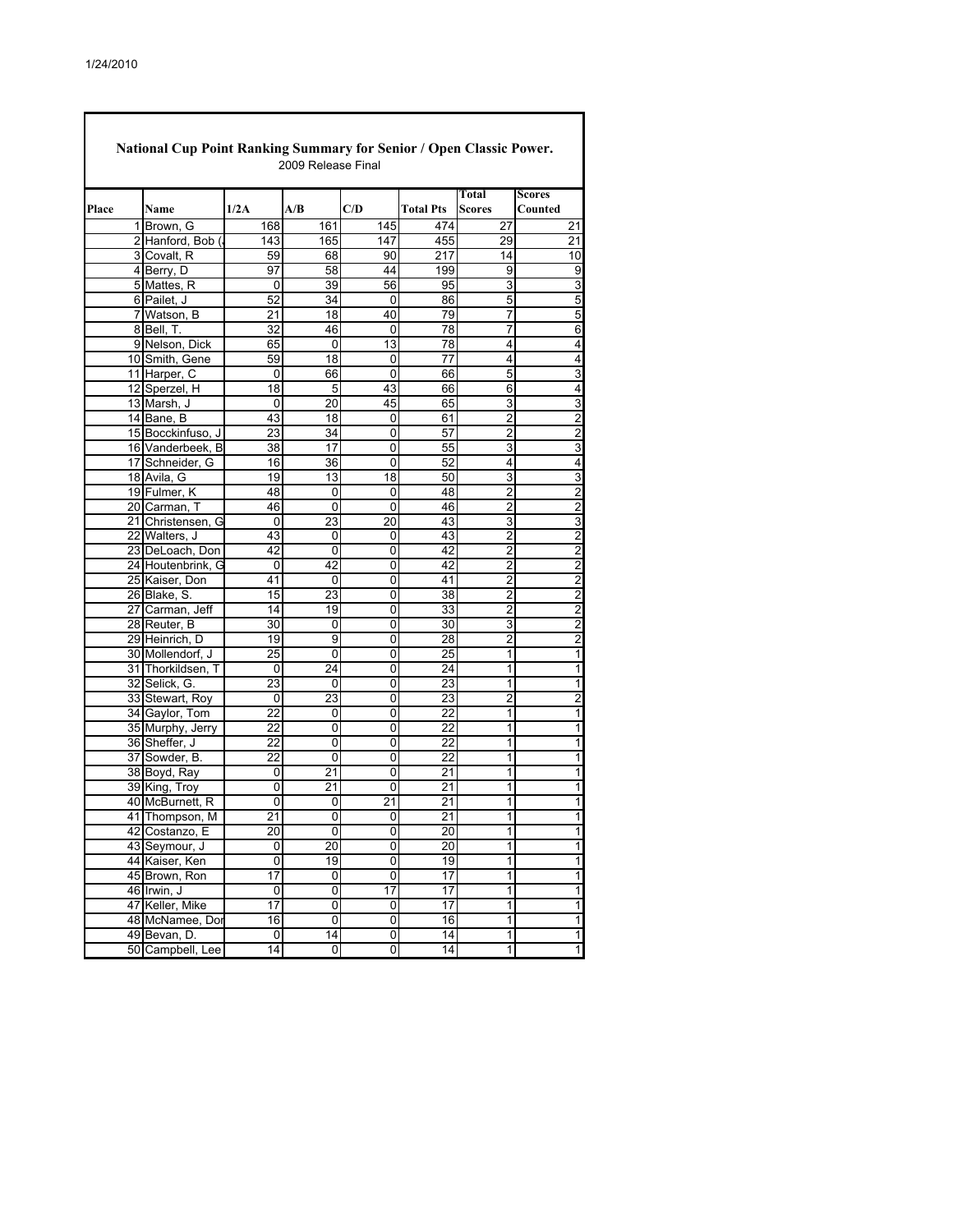|       | <b>National Cup Point Ranking Summary for Senior / Open Classic Power.</b> |                 | 2009 Release Final |                         |                  |                 |                          |
|-------|----------------------------------------------------------------------------|-----------------|--------------------|-------------------------|------------------|-----------------|--------------------------|
| Place | Name                                                                       | 1/2A            | A/B                | C/D                     | <b>Total Pts</b> | Total<br>Scores | <b>Scores</b><br>Counted |
|       |                                                                            |                 |                    |                         |                  |                 |                          |
|       | 1 Brown, G                                                                 | 168             | 161                | 145                     | 474              | 27              | 21                       |
|       | 2 Hanford, Bob (                                                           | 143             | 165                | 147                     | 455              | 29              | 21                       |
|       | 3 Covalt, R                                                                | 59              | 68                 | 90                      | 217              | 14              | 10                       |
|       | 4 Berry, D                                                                 | 97              | 58                 | 44                      | 199              | 9               | 9                        |
|       | 5 Mattes, R                                                                | 0               | 39                 | 56                      | 95               | 3               | 3                        |
|       | 6 Pailet, J                                                                | 52              | 34                 | $\mathbf 0$             | 86               | 5               | 5                        |
|       | 7 Watson, B                                                                | 21              | 18                 | 40                      | 79               | 7               | 5                        |
|       | 8 Bell, T.                                                                 | 32              | 46                 | 0                       | 78               | 7               | 6                        |
|       | 9 Nelson, Dick                                                             | 65              | 0                  | 13                      | 78               | 4               | 4                        |
|       | 10 Smith, Gene                                                             | 59              | 18                 | 0                       | 77               | 4               | 4                        |
|       | 11 Harper, C                                                               | 0               | 66                 | 0                       | 66               | 5               | 3                        |
|       | 12 Sperzel, H                                                              | 18              | 5                  | 43                      | 66               | 6               | 4                        |
|       | 13 Marsh, J                                                                | 0               | 20                 | 45                      | 65               | 3               | 3                        |
|       | 14 Bane, B                                                                 | 43              | 18                 | 0                       | 61               | 2               | $\overline{\mathbf{c}}$  |
|       | 15 Bocckinfuso, J                                                          | 23              | 34                 | 0                       | 57               | 2               | $\frac{2}{3}$            |
|       | 16 Vanderbeek. B                                                           | 38              | 17                 | 0                       | 55               | 3               |                          |
|       | 17 Schneider, G                                                            | 16              | 36                 | 0                       | 52               | 4               | 4                        |
|       | 18 Avila, G                                                                | 19              | $\overline{13}$    | 18                      | 50               | 3               | 3                        |
|       | 19 Fulmer, K                                                               | 48              | 0                  | 0                       | 48               | 2               | $\overline{\mathbf{c}}$  |
|       | 20 Carman, T                                                               | 46              | 0                  | 0                       | 46               | 2               | $\overline{2}$           |
|       | 21 Christensen, G                                                          | 0               | 23                 | 20                      | 43               | 3               | $\overline{3}$           |
|       | 22 Walters, J                                                              | 43              | 0                  | 0                       | 43               | 2               | $\overline{\mathbf{c}}$  |
|       | 23 DeLoach, Don                                                            | 42              | 0                  | 0                       | 42               | $\overline{2}$  | $\overline{2}$           |
|       | 24 Houtenbrink, G                                                          | 0               | 42                 | 0                       | 42               | $\overline{c}$  | $\frac{2}{2}$            |
|       | 25 Kaiser, Don                                                             | 41              | 0                  | 0                       | 41               | 2               |                          |
|       | 26 Blake, S.                                                               | 15              | 23                 | 0                       | 38               | 2               | $\overline{2}$           |
|       | 27 Carman, Jeff                                                            | 14              | 19                 | 0                       | 33               | 2               | $\frac{2}{2}$            |
|       | 28 Reuter, B                                                               | 30              | 0                  | 0                       | 30               | 3               |                          |
|       | 29 Heinrich, D                                                             | 19              | 9                  | 0                       | 28               | 2               | 2                        |
|       | 30 Mollendorf, J                                                           | 25              | 0                  | 0                       | 25               | 1               | 1                        |
|       | 31 Thorkildsen, T                                                          | 0               | 24                 | 0                       | 24               | 1               | 1                        |
|       | 32 Selick, G.                                                              | 23              | 0                  | 0                       | 23               | 1               | 1                        |
|       | 33 Stewart, Roy                                                            | 0               | 23                 | 0                       | 23               | $\overline{c}$  | $\overline{2}$           |
|       | 34 Gaylor, Tom                                                             | 22              | 0                  | 0                       | 22               | 1               | 1                        |
|       | 35 Murphy, Jerry                                                           | 22              | 0                  | 0                       | 22               | 1               | 1                        |
|       | 36 Sheffer, J                                                              | 22              | 0                  | 0                       | 22               | 1               | 1                        |
|       | 37 Sowder, B.                                                              | 22              | 0                  | 0                       | 22               | 1               | 1                        |
|       | 38 Boyd, Ray                                                               | 0               | 21                 | 0                       | 21               | 1               | 1                        |
|       | 39 King, Troy                                                              | 0               | 21                 | 0                       | 21               | 1               | 1                        |
|       | 40 McBurnett, R                                                            | 0               | 0                  | 21                      | 21               | 1               | 1                        |
|       | 41 Thompson, M                                                             | 21              | 0                  | 0                       | 21               | 1               |                          |
|       | 42 Costanzo, E                                                             | 20              | 0                  | 0                       | 20               |                 |                          |
|       | 43 Seymour, J                                                              | 0               | 20                 | $\overline{0}$          | $\overline{20}$  | 1               | 1                        |
|       | 44 Kaiser, Ken                                                             | 0               | 19                 | 0                       | 19               | 1               | $\overline{\mathbf{1}}$  |
|       | 45 Brown, Ron                                                              | $\overline{17}$ | $\overline{0}$     | $\overline{\mathbf{0}}$ | 17               | $\overline{1}$  | $\overline{1}$           |
|       | $46$ Irwin, J                                                              | 0               | 0                  | 17                      | 17               | 1               | $\overline{1}$           |
|       | 47 Keller, Mike                                                            | $\overline{17}$ | $\overline{0}$     | 0                       | $\overline{17}$  | $\overline{1}$  | $\overline{\mathbf{1}}$  |
|       | 48 McNamee, Dor                                                            | 16              | $\overline{0}$     | O                       | 16               | $\overline{1}$  | $\overline{\mathbf{1}}$  |
|       | 49 Bevan, D.                                                               | 0               | 14                 | $\overline{0}$          | 14               | 1               | $\overline{1}$           |
|       | 50 Campbell, Lee                                                           | 14              | 0                  | o                       | 14               | 1               | 1                        |

I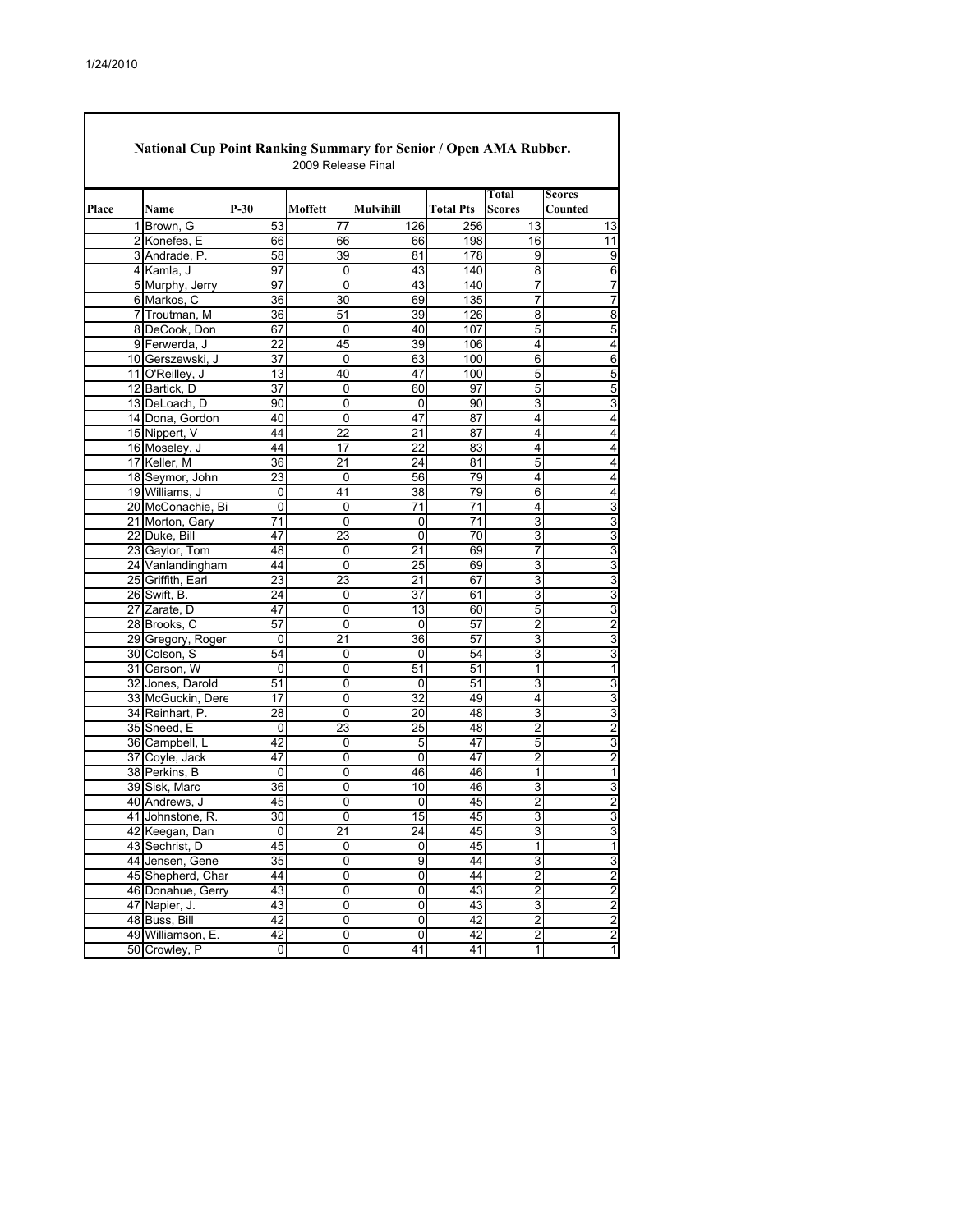|       |                   | $P-30$          | Moffett         | Mulvihill       | <b>Total Pts</b> | Total<br><b>Scores</b>  | Scores<br>Counted       |
|-------|-------------------|-----------------|-----------------|-----------------|------------------|-------------------------|-------------------------|
| Place | Name              |                 |                 |                 |                  |                         |                         |
|       | 1 Brown, G        | 53              | 77              | 126             | 256              | 13                      | 13                      |
|       | 2 Konefes, E      | 66              | 66              | 66              | 198              | 16                      | 11                      |
|       | 3 Andrade, P.     | 58              | 39              | 81              | 178              | 9                       | 9                       |
|       | 4 Kamla, J        | 97              | 0               | 43              | 140              | 8                       | 6                       |
|       | 5 Murphy, Jerry   | 97              | 0               | 43              | 140              | 7                       | 7                       |
|       | 6 Markos, C       | 36              | 30              | 69              | 135              | 7                       | 7                       |
|       | 7 Troutman, M     | 36              | 51              | 39              | 126              | 8                       | 8                       |
|       | 8 DeCook, Don     | 67              | $\mathbf 0$     | 40              | 107              | $\overline{5}$          | 5                       |
|       | 9 Ferwerda, J     | 22              | 45              | 39              | 106              | 4                       | 4                       |
|       | 10 Gerszewski, J  | 37              | 0               | 63              | 100              | 6                       | 6                       |
|       | 11 O'Reilley, J   | 13              | 40              | 47              | 100              | $\overline{5}$          | 5                       |
|       | 12 Bartick, D     | 37              | 0               | 60              | 97               | 5                       | 5                       |
|       | 13 DeLoach, D     | 90              | 0               | $\Omega$        | 90               | 3                       | 3                       |
|       | 14 Dona, Gordon   | 40              | 0               | 47              | 87               | 4                       | 4                       |
|       | 15 Nippert, V     | 44              | 22              | 21              | 87               | 4                       | 4                       |
|       | 16 Moseley, J     | 44              | 17              | 22              | 83               | 4                       | 4                       |
|       | 17 Keller, M      | 36              | 21              | 24              | 81               | 5                       | 4                       |
|       | 18 Seymor, John   | 23              | 0               | 56              | 79               | 4                       | 4                       |
|       | 19 Williams, J    | 0               | 41              | 38              | 79               | 6                       | 4                       |
|       | 20 McConachie, Bi | 0               | 0               | $\overline{71}$ | $\overline{71}$  | 4                       | 3                       |
|       | 21 Morton, Gary   | 71              | 0               | 0               | 71               | 3                       | 3                       |
|       | 22 Duke, Bill     | 47              | 23              | 0               | 70               | 3                       | 3                       |
|       | 23 Gaylor, Tom    | 48              | 0               | 21              | 69               | 7                       | 3                       |
|       | 24 Vanlandingham  | 44              | 0               | 25              | 69               | 3                       | 3                       |
|       | 25 Griffith, Earl | 23              | 23              | 21              | 67               | 3                       | 3                       |
|       | 26 Swift, B.      | 24              | 0               | 37              | 61               | 3                       | 3                       |
|       | 27 Zarate, D      | 47              | 0               | 13              | 60               | 5                       | 3                       |
|       | 28 Brooks, C      | 57              | 0               | 0               | 57               | 2                       | 2                       |
|       | 29 Gregory, Roger | 0               | 21              | 36              | 57               | 3                       | 3                       |
|       | 30 Colson, S      | 54              | 0               | 0               | 54               | 3                       | 3                       |
|       | 31 Carson, W      | 0               | 0               | 51              | 51               | 1                       | 1                       |
|       | 32 Jones, Darold  | 51              | 0               | 0               | 51               | 3                       | 3                       |
|       | 33 McGuckin, Dere | 17              | 0               | $\overline{32}$ | 49               | 4                       | 3                       |
|       | 34 Reinhart, P.   | 28              | 0               | 20              | 48               | 3                       | 3                       |
|       | 35 Sneed, E       | 0               | 23              | 25              | 48               | $\overline{2}$          | 2                       |
|       | 36 Campbell, L    | 42              | 0               | 5               | 47               | 5                       | 3                       |
|       | 37 Coyle, Jack    | 47              | 0               | $\Omega$        | 47               | 2                       | 2                       |
|       | 38 Perkins, B     | 0               | $\overline{0}$  | 46              | 46               | 1                       | 1                       |
|       | 39 Sisk, Marc     | 36              | 0               | 10              | 46               | 3                       | 3                       |
|       | 40 Andrews, J     | 45              | 0               | 0               | 45               | 2                       | 2                       |
|       | 41 Johnstone, R.  | 30              | 0               | 15              | 45               | 3                       | 3                       |
|       | 42 Keegan, Dan    | 0               | $\overline{21}$ | 24              | 45               | 3                       | 3                       |
|       | 43 Sechrist, D    | 45              | 0               | 0               | 45               | $\overline{1}$          | $\overline{1}$          |
|       | 44 Jensen, Gene   | $\overline{35}$ | 0               | 9               | 44               | 3                       | 3                       |
|       | 45 Shepherd, Char | 44              | 0               | $\overline{0}$  | 44               | $\overline{2}$          | $\overline{2}$          |
|       | 46 Donahue, Gerry | 43              | 0               | $\overline{0}$  | 43               | $\overline{\mathbf{c}}$ | $\overline{2}$          |
|       | 47 Napier, J.     | 43              | $\overline{0}$  | $\overline{0}$  | 43               | 3                       | $\overline{c}$          |
|       | 48 Buss, Bill     | 42              | 0               | 0               | 42               | $\overline{2}$          | $\overline{2}$          |
|       | 49 Williamson, E. | 42              | 0               | 0               | 42               | $\overline{2}$          | $\overline{\mathbf{c}}$ |
| 50    | Crowley, P        | 0               | 0               | 41              | 41               | 1                       | 1                       |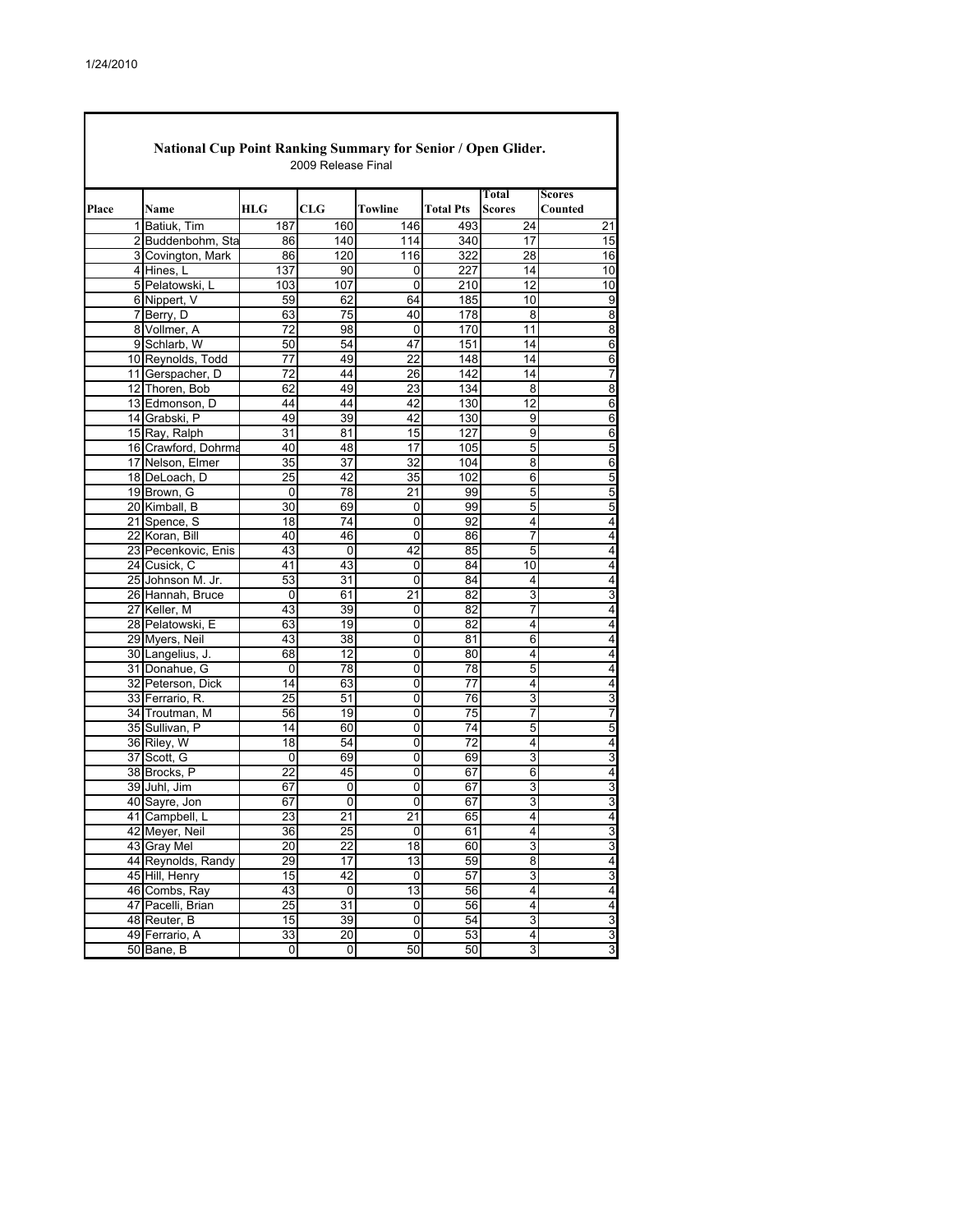Г

| National Cup Point Ranking Summary for Senior / Open Glider.<br>2009 Release Final |                     |                 |                 |                 |                  |                         |                         |  |  |  |  |
|------------------------------------------------------------------------------------|---------------------|-----------------|-----------------|-----------------|------------------|-------------------------|-------------------------|--|--|--|--|
|                                                                                    |                     |                 |                 |                 |                  | Total                   | Scores                  |  |  |  |  |
| Place                                                                              | Name                | <b>HLG</b>      | CLG             | Towline         | <b>Total Pts</b> | <b>Scores</b>           | Counted                 |  |  |  |  |
|                                                                                    | 1 Batiuk. Tim       | 187             | 160             | 146             | 493              | 24                      | 21                      |  |  |  |  |
|                                                                                    | 2 Buddenbohm, Sta   | 86              | 140             | 114             | 340              | 17                      | 15                      |  |  |  |  |
|                                                                                    | 3 Covington, Mark   | 86              | 120             | 116             | 322              | 28                      | 16                      |  |  |  |  |
|                                                                                    | 4 Hines, L          | 137             | 90              | 0               | 227              | 14                      | 10                      |  |  |  |  |
|                                                                                    | 5 Pelatowski, L     | 103             | 107             | 0               | 210              | $\overline{12}$         | 10                      |  |  |  |  |
|                                                                                    | 6 Nippert, V        | 59              | 62              | 64              | 185              | 10                      | 9                       |  |  |  |  |
|                                                                                    | 7 Berry, D          | 63              | 75              | 40              | 178              | 8                       | 8                       |  |  |  |  |
|                                                                                    | 8 Vollmer, A        | $\overline{72}$ | 98              | 0               | 170              | 11                      | œ                       |  |  |  |  |
|                                                                                    | 9 Schlarb, W        | 50              | 54              | 47              | 151              | 14                      | 6                       |  |  |  |  |
|                                                                                    | 10 Reynolds, Todd   | 77              | 49              | 22              | 148              | 14                      | 6                       |  |  |  |  |
|                                                                                    | 11 Gerspacher, D    | $\overline{72}$ | 44              | 26              | 142              | 14                      | 7                       |  |  |  |  |
|                                                                                    | 12 Thoren, Bob      | 62              | 49              | 23              | 134              | 8                       | $\overline{8}$          |  |  |  |  |
|                                                                                    | 13 Edmonson, D      | 44              | 44              | 42              | 130              | 12                      | 6                       |  |  |  |  |
|                                                                                    | 14 Grabski, P       | 49              | 39              | 42              | 130              | $\overline{9}$          | $\overline{6}$          |  |  |  |  |
|                                                                                    | 15 Ray, Ralph       | 31              | 81              | 15              | 127              | 9                       | 6                       |  |  |  |  |
|                                                                                    | 16 Crawford, Dohrma | 40              | 48              | 17              | 105              | 5                       | 5                       |  |  |  |  |
|                                                                                    | 17 Nelson, Elmer    | 35              | $\overline{37}$ | $\overline{32}$ | 104              | 8                       | $\overline{6}$          |  |  |  |  |
|                                                                                    | 18 DeLoach, D       | 25              | 42              | 35              | 102              | 6                       | 5                       |  |  |  |  |
|                                                                                    | 19 Brown, G         | 0               | 78              | 21              | 99               | 5                       | 5                       |  |  |  |  |
|                                                                                    | 20 Kimball, B       | 30              | 69              | 0               | 99               | 5                       | $\overline{5}$          |  |  |  |  |
|                                                                                    | 21 Spence, S        | 18              | 74              | 0               | 92               | 4                       | 4                       |  |  |  |  |
|                                                                                    | 22 Koran, Bill      | 40              | 46              | 0               | 86               | 7                       | $\overline{4}$          |  |  |  |  |
|                                                                                    | 23 Pecenkovic, Enis | 43              | 0               | 42              | 85               | $\overline{5}$          | 4                       |  |  |  |  |
|                                                                                    | 24 Cusick, C        | 41              | 43              | 0               | 84               | 10                      | $\overline{\mathbf{4}}$ |  |  |  |  |
|                                                                                    | 25 Johnson M. Jr.   | 53              | 31              | 0               | 84               | 4                       | 4                       |  |  |  |  |
|                                                                                    | 26 Hannah, Bruce    | 0               | 61              | $\overline{21}$ | 82               | 3                       | 3                       |  |  |  |  |
|                                                                                    | 27 Keller, M        | 43              | 39              | 0               | 82               | 7                       | 4                       |  |  |  |  |
|                                                                                    | 28 Pelatowski, E    | 63              | 19              | 0               | 82               | 4                       | 4                       |  |  |  |  |
|                                                                                    | 29 Myers, Neil      | 43              | 38              | 0               | 81               | 6                       | $\overline{\mathbf{4}}$ |  |  |  |  |
|                                                                                    | 30 Langelius, J.    | 68              | 12              | 0               | 80               | 4                       | 4                       |  |  |  |  |
|                                                                                    | 31 Donahue, G       | $\Omega$        | 78              | 0               | 78               | 5                       | 4                       |  |  |  |  |
|                                                                                    | 32 Peterson, Dick   | 14              | 63              | 0               | $\overline{77}$  | 4                       | 4                       |  |  |  |  |
|                                                                                    | 33 Ferrario, R.     | 25              | 51              | 0               | 76               | 3                       | 3                       |  |  |  |  |
|                                                                                    | 34 Troutman, M      | 56              | 19              | 0               | 75               | 7                       | 7                       |  |  |  |  |
|                                                                                    | 35 Sullivan, P      | 14              | 60              | 0               | 74               | 5                       | 5                       |  |  |  |  |
|                                                                                    | 36 Riley, W         | 18              | 54              | 0               | 72               | 4                       | 4                       |  |  |  |  |
|                                                                                    | 37 Scott, G         | 0               | 69              | 0               | 69               | 3                       | $\overline{3}$          |  |  |  |  |
|                                                                                    | 38 Brocks, P        | $\overline{22}$ | 45              | $\overline{0}$  | 67               | $\overline{6}$          | $\overline{\mathbf{4}}$ |  |  |  |  |
|                                                                                    | 39 Juhl, Jim        | 67              | 0               | 0               | 67               | 3                       | $\overline{3}$          |  |  |  |  |
|                                                                                    | 40 Sayre, Jon       | 67              | 0               | 0               | 67               | 3                       | 3                       |  |  |  |  |
|                                                                                    | 41 Campbell, L      | 23              | $\overline{21}$ | 21              | 65               | 4                       | $\overline{\mathbf{4}}$ |  |  |  |  |
|                                                                                    | 42 Meyer, Neil      | 36              | 25              | 0               | 61               | 4                       | 3                       |  |  |  |  |
|                                                                                    | 43 Gray Mel         | 20              | 22              | 18              | 60               | 3                       | $\overline{3}$          |  |  |  |  |
|                                                                                    | 44 Reynolds, Randy  | 29              | 17              | 13              | 59               | 8                       | $\overline{\mathbf{4}}$ |  |  |  |  |
|                                                                                    | 45 Hill, Henry      | 15              | 42              | 0               | 57               | 3                       | $\overline{3}$          |  |  |  |  |
|                                                                                    | 46 Combs, Ray       | 43              | 0               | 13              | 56               | $\overline{\mathbf{4}}$ | $\overline{\mathbf{4}}$ |  |  |  |  |
|                                                                                    | 47 Pacelli, Brian   | 25              | 31              | 0               | 56               | 4                       | 4                       |  |  |  |  |
|                                                                                    | 48 Reuter, B        | 15              | 39              | 0               | 54               | 3                       | $\overline{3}$          |  |  |  |  |
|                                                                                    | 49 Ferrario, A      | 33              | 20              | 0               | 53               | 4                       | 3                       |  |  |  |  |
|                                                                                    | 50 Bane, B          | 0               | 0               | 50              | 50               | 3                       | 3                       |  |  |  |  |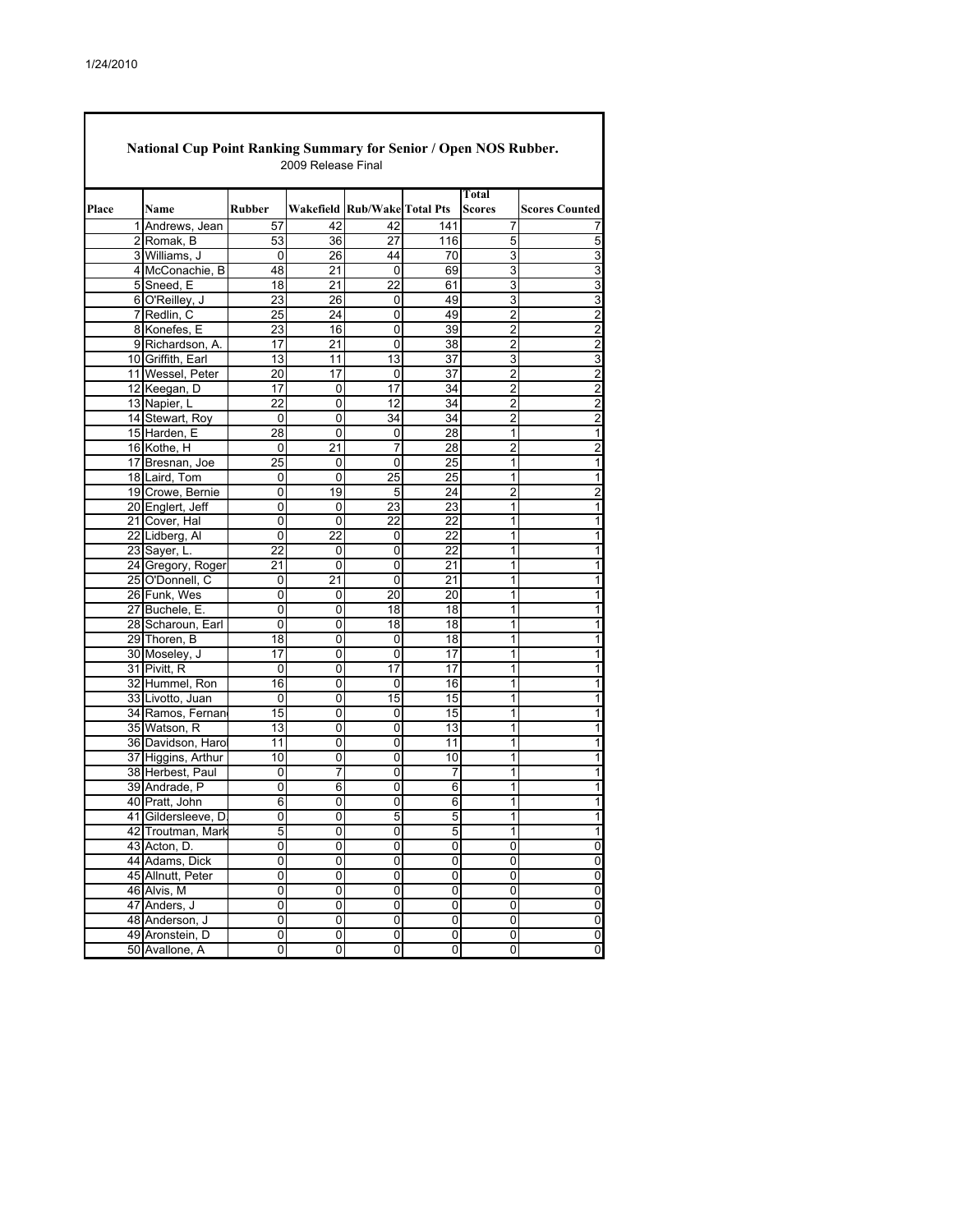| National Cup Point Ranking Summary for Senior / Open NOS Rubber.<br>2009 Release Final |  |                    |                |                 |                             |                         |                        |                         |  |  |  |
|----------------------------------------------------------------------------------------|--|--------------------|----------------|-----------------|-----------------------------|-------------------------|------------------------|-------------------------|--|--|--|
| Place                                                                                  |  | Name               | <b>Rubber</b>  |                 | Wakefield Rub/WakeTotal Pts |                         | Total<br><b>Scores</b> | <b>Scores Counted</b>   |  |  |  |
|                                                                                        |  | 1 Andrews, Jean    | 57             | 42              | 42                          | 141                     | 7                      | 7                       |  |  |  |
|                                                                                        |  | 2 Romak, B         | 53             | 36              | 27                          | 116                     | 5                      | 5                       |  |  |  |
|                                                                                        |  | 3 Williams, J      | 0              | 26              | 44                          | 70                      | 3                      | 3                       |  |  |  |
|                                                                                        |  | 4 McConachie, B    | 48             | 21              | 0                           | 69                      | 3                      | 3                       |  |  |  |
|                                                                                        |  | 5 Sneed, E         | 18             | 21              | 22                          | 61                      | 3                      | $\overline{3}$          |  |  |  |
|                                                                                        |  | 6 O'Reilley, J     | 23             | 26              | 0                           | 49                      | 3                      | $\overline{3}$          |  |  |  |
|                                                                                        |  | 7 Redlin, C        | 25             | 24              | 0                           | 49                      | $\overline{2}$         | $\overline{2}$          |  |  |  |
|                                                                                        |  | 8 Konefes, E       | 23             | 16              | 0                           | 39                      | 2                      |                         |  |  |  |
|                                                                                        |  | 9 Richardson, A.   | 17             | 21              | 0                           | 38                      | 2                      | $\frac{2}{2}$           |  |  |  |
|                                                                                        |  | 10 Griffith, Earl  | 13             | 11              | 13                          | 37                      | 3                      | $\overline{3}$          |  |  |  |
|                                                                                        |  | 11 Wessel, Peter   | 20             | 17              | 0                           | 37                      | 2                      |                         |  |  |  |
|                                                                                        |  | 12 Keegan, D       | 17             | 0               | 17                          | 34                      | $\overline{2}$         | $\frac{2}{2}$           |  |  |  |
|                                                                                        |  | 13 Napier, L       | 22             | 0               | 12                          | 34                      | 2                      | $\overline{\mathbf{c}}$ |  |  |  |
|                                                                                        |  | 14 Stewart, Roy    | 0              | 0               | 34                          | 34                      | 2                      | $\overline{2}$          |  |  |  |
|                                                                                        |  | 15 Harden, E       | 28             | 0               | 0                           | 28                      | 1                      | 1                       |  |  |  |
|                                                                                        |  | 16 Kothe, H        | 0              | 21              | 7                           | 28                      | 2                      | $\overline{\mathbf{c}}$ |  |  |  |
|                                                                                        |  | 17 Bresnan, Joe    | 25             | 0               | 0                           | 25                      | 1                      | $\overline{1}$          |  |  |  |
|                                                                                        |  | 18 Laird, Tom      | 0              | 0               | 25                          | 25                      | 1                      | $\overline{\mathbf{1}}$ |  |  |  |
|                                                                                        |  | 19 Crowe, Bernie   | 0              | 19              | 5                           | 24                      | $\overline{2}$         | $\overline{\mathbf{c}}$ |  |  |  |
|                                                                                        |  | 20 Englert, Jeff   | 0              | 0               | 23                          | 23                      | 1                      | $\overline{\mathbf{1}}$ |  |  |  |
|                                                                                        |  | 21 Cover, Hal      | 0              | 0               | 22                          | 22                      | 1                      | 1                       |  |  |  |
|                                                                                        |  | 22 Lidberg, Al     | 0              | 22              | 0                           | 22                      | 1                      | 1                       |  |  |  |
|                                                                                        |  | 23 Sayer, L.       | 22             | 0               | 0                           | 22                      | 1                      | $\overline{1}$          |  |  |  |
|                                                                                        |  | 24 Gregory, Roger  | 21             | 0               | 0                           | 21                      | 1                      | 1                       |  |  |  |
|                                                                                        |  | 25 O'Donnell, C    | 0              | $\overline{21}$ | 0                           | $\overline{21}$         | 1                      | 1                       |  |  |  |
|                                                                                        |  | 26 Funk, Wes       | 0              | 0               | 20                          | 20                      | 1                      | 1                       |  |  |  |
|                                                                                        |  | 27 Buchele, E.     | 0              | 0               | 18                          | 18                      | 1                      | 1                       |  |  |  |
|                                                                                        |  | 28 Scharoun, Earl  | 0              | 0               | 18                          | 18                      | 1                      | 1                       |  |  |  |
|                                                                                        |  | 29 Thoren, B       | 18             | 0               | 0                           | 18                      | 1                      | 1                       |  |  |  |
|                                                                                        |  | 30 Moseley, J      | 17             | 0               | 0                           | 17                      | 1                      | 1                       |  |  |  |
|                                                                                        |  | 31 Pivitt, R       | 0              | 0               | 17                          | 17                      | 1                      | 1                       |  |  |  |
|                                                                                        |  | 32 Hummel, Ron     | 16             | 0               | 0                           | 16                      | 1                      | 1                       |  |  |  |
|                                                                                        |  | 33 Livotto, Juan   | 0              | 0               | 15                          | 15                      | 1                      | 1                       |  |  |  |
|                                                                                        |  | 34 Ramos, Fernan   | 15             | 0               | 0                           | 15                      | 1                      | 1                       |  |  |  |
|                                                                                        |  | 35 Watson, R       | 13             | 0               | 0                           | 13                      | 1                      | $\overline{1}$          |  |  |  |
|                                                                                        |  | 36 Davidson, Haro  | 11             | 0               | 0                           | 11                      | 1                      | 1                       |  |  |  |
|                                                                                        |  | 37 Higgins, Arthur | 10             | 0               | 0                           | 10                      | 1                      | 1                       |  |  |  |
|                                                                                        |  | 38 Herbest, Paul   | 0              | 7               | 0                           | 7                       | 1                      | $\overline{1}$          |  |  |  |
|                                                                                        |  | 39 Andrade, P      | 0              | 6               | 0                           | 6                       | 1                      | 1                       |  |  |  |
|                                                                                        |  | 40 Pratt, John     | 6              | 0               | $\overline{0}$              | 6                       | 1                      | 1                       |  |  |  |
|                                                                                        |  | 41 Gildersleeve, D | 0              | 0               | 5                           | 5                       | 1                      | 1                       |  |  |  |
|                                                                                        |  | 42 Troutman, Mark  | $\overline{5}$ | 0               | 0                           | 5                       | 1                      | $\overline{1}$          |  |  |  |
|                                                                                        |  | 43 Acton, D.       | $\overline{0}$ | 0               | 0                           | $\overline{\mathbf{0}}$ | 0                      | 0                       |  |  |  |
|                                                                                        |  | 44 Adams, Dick     | 0              | 0               | 0                           | $\overline{0}$          | 0                      | $\pmb{0}$               |  |  |  |
|                                                                                        |  | 45 Allnutt, Peter  | 0              | 0               | 0                           | 0                       | 0                      | $\overline{\mathbf{0}}$ |  |  |  |
|                                                                                        |  | 46 Alvis, M        | $\overline{0}$ | $\overline{0}$  | $\overline{0}$              | $\overline{0}$          | $\overline{0}$         | 0                       |  |  |  |
|                                                                                        |  | 47 Anders, J       | 0              | 0               | 0                           | 0                       | 0                      | $\overline{0}$          |  |  |  |
|                                                                                        |  | 48 Anderson, J     | 0              | 0               | 0                           | 0                       | 0                      | $\pmb{0}$               |  |  |  |
|                                                                                        |  | 49 Aronstein, D    | 0              | $\overline{0}$  | 0                           | 0                       | 0                      | 0                       |  |  |  |
|                                                                                        |  | 50 Avallone, A     | 0              | 0               | 0                           | 0                       | 0                      | 0                       |  |  |  |